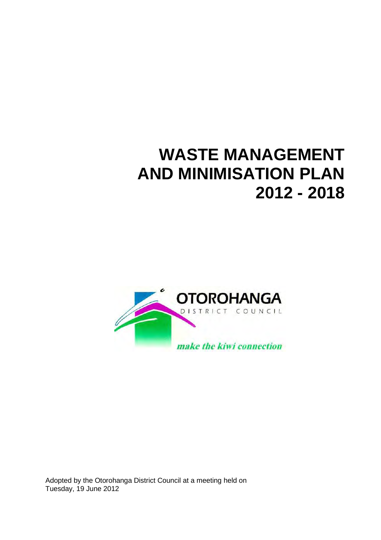# **WASTE MANAGEMENT AND MINIMISATION PLAN 2012 - 2018**



Adopted by the Otorohanga District Council at a meeting held on Tuesday, 19 June 2012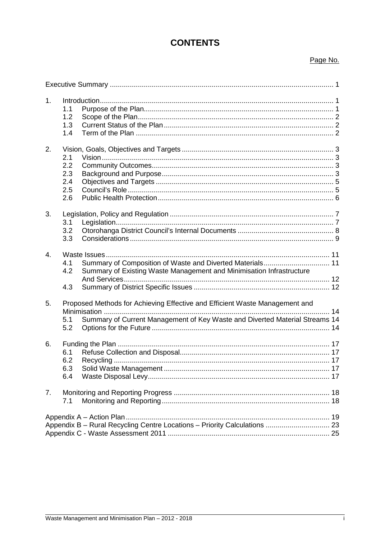# **CONTENTS**

#### Page No.

| 1 <sub>1</sub> | 1.1<br>1.2<br>1.3<br>1.4               |                                                                                                                                                            |  |
|----------------|----------------------------------------|------------------------------------------------------------------------------------------------------------------------------------------------------------|--|
| 2.             | 2.1<br>2.2<br>2.3<br>2.4<br>2.5<br>2.6 |                                                                                                                                                            |  |
| 3.             | 3.1<br>3.2<br>3.3                      |                                                                                                                                                            |  |
| $\overline{4}$ | 4.1<br>4.2<br>4.3                      | Summary of Existing Waste Management and Minimisation Infrastructure                                                                                       |  |
| 5.             | 5.1<br>5.2                             | Proposed Methods for Achieving Effective and Efficient Waste Management and<br>Summary of Current Management of Key Waste and Diverted Material Streams 14 |  |
| 6.             | 6.1<br>6.2<br>6.3<br>6.4               |                                                                                                                                                            |  |
| 7 <sub>1</sub> | 7.1                                    |                                                                                                                                                            |  |
|                |                                        | Appendix B - Rural Recycling Centre Locations - Priority Calculations  23                                                                                  |  |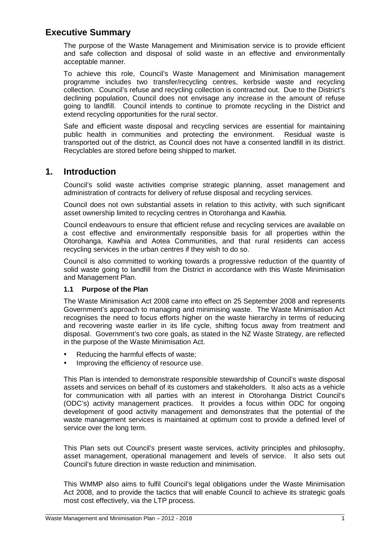## **Executive Summary**

The purpose of the Waste Management and Minimisation service is to provide efficient and safe collection and disposal of solid waste in an effective and environmentally acceptable manner.

To achieve this role, Council's Waste Management and Minimisation management programme includes two transfer/recycling centres, kerbside waste and recycling collection. Council's refuse and recycling collection is contracted out. Due to the District's declining population, Council does not envisage any increase in the amount of refuse going to landfill. Council intends to continue to promote recycling in the District and extend recycling opportunities for the rural sector.

Safe and efficient waste disposal and recycling services are essential for maintaining public health in communities and protecting the environment. Residual waste is transported out of the district, as Council does not have a consented landfill in its district. Recyclables are stored before being shipped to market.

### **1. Introduction**

Council's solid waste activities comprise strategic planning, asset management and administration of contracts for delivery of refuse disposal and recycling services.

Council does not own substantial assets in relation to this activity, with such significant asset ownership limited to recycling centres in Otorohanga and Kawhia.

Council endeavours to ensure that efficient refuse and recycling services are available on a cost effective and environmentally responsible basis for all properties within the Otorohanga, Kawhia and Aotea Communities, and that rural residents can access recycling services in the urban centres if they wish to do so.

Council is also committed to working towards a progressive reduction of the quantity of solid waste going to landfill from the District in accordance with this Waste Minimisation and Management Plan.

#### **1.1 Purpose of the Plan**

The Waste Minimisation Act 2008 came into effect on 25 September 2008 and represents Government's approach to managing and minimising waste. The Waste Minimisation Act recognises the need to focus efforts higher on the waste hierarchy in terms of reducing and recovering waste earlier in its life cycle, shifting focus away from treatment and disposal. Government's two core goals, as stated in the NZ Waste Strategy, are reflected in the purpose of the Waste Minimisation Act.

- Reducing the harmful effects of waste;
- Improving the efficiency of resource use.

This Plan is intended to demonstrate responsible stewardship of Council's waste disposal assets and services on behalf of its customers and stakeholders. It also acts as a vehicle for communication with all parties with an interest in Otorohanga District Council's (ODC's) activity management practices. It provides a focus within ODC for ongoing development of good activity management and demonstrates that the potential of the waste management services is maintained at optimum cost to provide a defined level of service over the long term.

This Plan sets out Council's present waste services, activity principles and philosophy, asset management, operational management and levels of service. It also sets out Council's future direction in waste reduction and minimisation.

This WMMP also aims to fulfil Council's legal obligations under the Waste Minimisation Act 2008, and to provide the tactics that will enable Council to achieve its strategic goals most cost effectively, via the LTP process.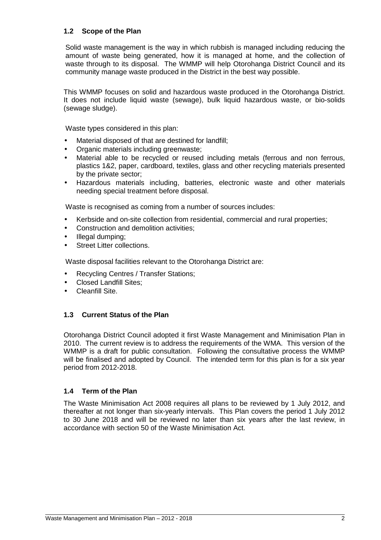#### **1.2 Scope of the Plan**

Solid waste management is the way in which rubbish is managed including reducing the amount of waste being generated, how it is managed at home, and the collection of waste through to its disposal. The WMMP will help Otorohanga District Council and its community manage waste produced in the District in the best way possible.

This WMMP focuses on solid and hazardous waste produced in the Otorohanga District. It does not include liquid waste (sewage), bulk liquid hazardous waste, or bio-solids (sewage sludge).

Waste types considered in this plan:

- Material disposed of that are destined for landfill;
- Organic materials including greenwaste;
- Material able to be recycled or reused including metals (ferrous and non ferrous, plastics 1&2, paper, cardboard, textiles, glass and other recycling materials presented by the private sector;
- Hazardous materials including, batteries, electronic waste and other materials needing special treatment before disposal.

Waste is recognised as coming from a number of sources includes:

- Kerbside and on-site collection from residential, commercial and rural properties;
- Construction and demolition activities;
- Illegal dumping:
- Street Litter collections.

Waste disposal facilities relevant to the Otorohanga District are:

- Recycling Centres / Transfer Stations;
- Closed Landfill Sites;
- Cleanfill Site.

#### **1.3 Current Status of the Plan**

Otorohanga District Council adopted it first Waste Management and Minimisation Plan in 2010. The current review is to address the requirements of the WMA. This version of the WMMP is a draft for public consultation. Following the consultative process the WMMP will be finalised and adopted by Council. The intended term for this plan is for a six year period from 2012-2018.

#### **1.4 Term of the Plan**

The Waste Minimisation Act 2008 requires all plans to be reviewed by 1 July 2012, and thereafter at not longer than six-yearly intervals. This Plan covers the period 1 July 2012 to 30 June 2018 and will be reviewed no later than six years after the last review, in accordance with section 50 of the Waste Minimisation Act.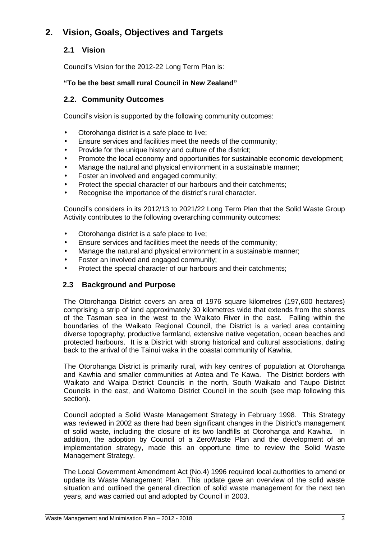# **2. Vision, Goals, Objectives and Targets**

### **2.1 Vision**

Council's Vision for the 2012-22 Long Term Plan is:

#### **"To be the best small rural Council in New Zealand"**

### **2.2. Community Outcomes**

Council's vision is supported by the following community outcomes:

- Otorohanga district is a safe place to live;
- Ensure services and facilities meet the needs of the community;
- Provide for the unique history and culture of the district;
- Promote the local economy and opportunities for sustainable economic development;
- Manage the natural and physical environment in a sustainable manner;
- Foster an involved and engaged community;
- Protect the special character of our harbours and their catchments;
- Recognise the importance of the district's rural character.

Council's considers in its 2012/13 to 2021/22 Long Term Plan that the Solid Waste Group Activity contributes to the following overarching community outcomes:

- Otorohanga district is a safe place to live;
- Ensure services and facilities meet the needs of the community;
- Manage the natural and physical environment in a sustainable manner;
- Foster an involved and engaged community;
- Protect the special character of our harbours and their catchments;

### **2.3 Background and Purpose**

The Otorohanga District covers an area of 1976 square kilometres (197,600 hectares) comprising a strip of land approximately 30 kilometres wide that extends from the shores of the Tasman sea in the west to the Waikato River in the east. Falling within the boundaries of the Waikato Regional Council, the District is a varied area containing diverse topography, productive farmland, extensive native vegetation, ocean beaches and protected harbours. It is a District with strong historical and cultural associations, dating back to the arrival of the Tainui waka in the coastal community of Kawhia.

The Otorohanga District is primarily rural, with key centres of population at Otorohanga and Kawhia and smaller communities at Aotea and Te Kawa. The District borders with Waikato and Waipa District Councils in the north, South Waikato and Taupo District Councils in the east, and Waitomo District Council in the south (see map following this section).

Council adopted a Solid Waste Management Strategy in February 1998. This Strategy was reviewed in 2002 as there had been significant changes in the District's management of solid waste, including the closure of its two landfills at Otorohanga and Kawhia. In addition, the adoption by Council of a ZeroWaste Plan and the development of an implementation strategy, made this an opportune time to review the Solid Waste Management Strategy.

The Local Government Amendment Act (No.4) 1996 required local authorities to amend or update its Waste Management Plan. This update gave an overview of the solid waste situation and outlined the general direction of solid waste management for the next ten years, and was carried out and adopted by Council in 2003.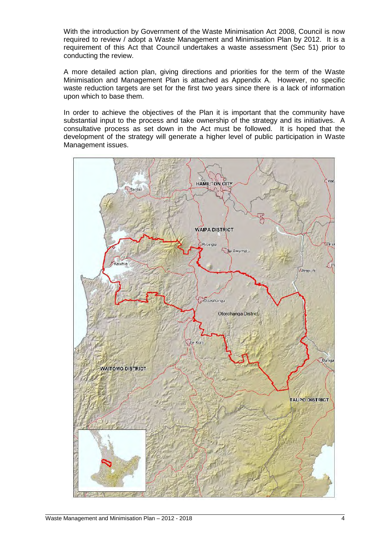With the introduction by Government of the Waste Minimisation Act 2008, Council is now required to review / adopt a Waste Management and Minimisation Plan by 2012. It is a requirement of this Act that Council undertakes a waste assessment (Sec 51) prior to conducting the review.

A more detailed action plan, giving directions and priorities for the term of the Waste Minimisation and Management Plan is attached as Appendix A. However, no specific waste reduction targets are set for the first two vears since there is a lack of information upon which to base them.

In order to achieve the objectives of the Plan it is important that the community have substantial input to the process and take ownership of the strategy and its initiatives. A consultative process as set down in the Act must be followed. It is hoped that the development of the strategy will generate a higher level of public participation in Waste Management issues.

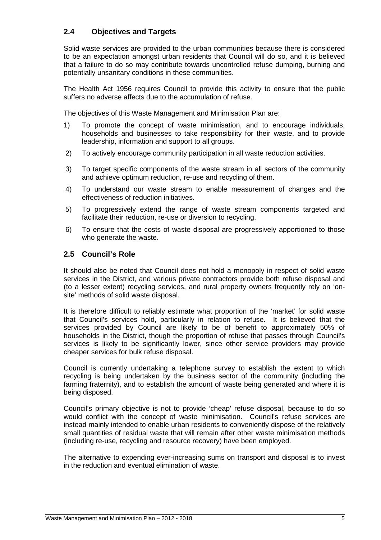### **2.4 Objectives and Targets**

 Solid waste services are provided to the urban communities because there is considered to be an expectation amongst urban residents that Council will do so, and it is believed that a failure to do so may contribute towards uncontrolled refuse dumping, burning and potentially unsanitary conditions in these communities.

 The Health Act 1956 requires Council to provide this activity to ensure that the public suffers no adverse affects due to the accumulation of refuse.

The objectives of this Waste Management and Minimisation Plan are:

- 1) To promote the concept of waste minimisation, and to encourage individuals, households and businesses to take responsibility for their waste, and to provide leadership, information and support to all groups.
- 2) To actively encourage community participation in all waste reduction activities.
- 3) To target specific components of the waste stream in all sectors of the community and achieve optimum reduction, re-use and recycling of them.
- 4) To understand our waste stream to enable measurement of changes and the effectiveness of reduction initiatives.
- 5) To progressively extend the range of waste stream components targeted and facilitate their reduction, re-use or diversion to recycling.
- 6) To ensure that the costs of waste disposal are progressively apportioned to those who generate the waste.

#### **2.5 Council's Role**

 It should also be noted that Council does not hold a monopoly in respect of solid waste services in the District, and various private contractors provide both refuse disposal and (to a lesser extent) recycling services, and rural property owners frequently rely on 'onsite' methods of solid waste disposal.

 It is therefore difficult to reliably estimate what proportion of the 'market' for solid waste that Council's services hold, particularly in relation to refuse. It is believed that the services provided by Council are likely to be of benefit to approximately 50% of households in the District, though the proportion of refuse that passes through Council's services is likely to be significantly lower, since other service providers may provide cheaper services for bulk refuse disposal.

 Council is currently undertaking a telephone survey to establish the extent to which recycling is being undertaken by the business sector of the community (including the farming fraternity), and to establish the amount of waste being generated and where it is being disposed.

 Council's primary objective is not to provide 'cheap' refuse disposal, because to do so would conflict with the concept of waste minimisation. Council's refuse services are instead mainly intended to enable urban residents to conveniently dispose of the relatively small quantities of residual waste that will remain after other waste minimisation methods (including re-use, recycling and resource recovery) have been employed.

The alternative to expending ever-increasing sums on transport and disposal is to invest in the reduction and eventual elimination of waste.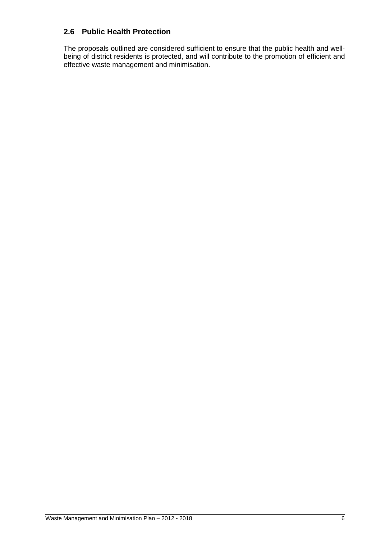#### **2.6 Public Health Protection**

The proposals outlined are considered sufficient to ensure that the public health and wellbeing of district residents is protected, and will contribute to the promotion of efficient and effective waste management and minimisation.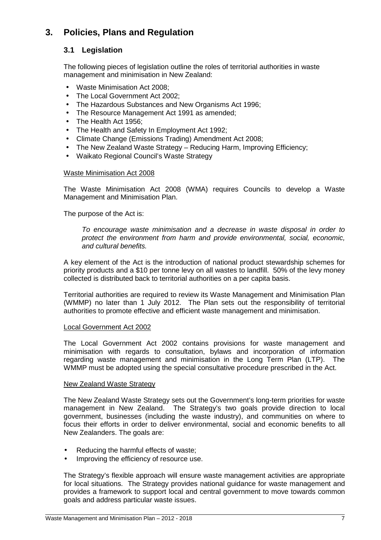# **3. Policies, Plans and Regulation**

### **3.1 Legislation**

The following pieces of legislation outline the roles of territorial authorities in waste management and minimisation in New Zealand:

- Waste Minimisation Act 2008;
- The Local Government Act 2002:
- The Hazardous Substances and New Organisms Act 1996;
- The Resource Management Act 1991 as amended;
- The Health Act 1956;
- The Health and Safety In Employment Act 1992;
- Climate Change (Emissions Trading) Amendment Act 2008;
- The New Zealand Waste Strategy Reducing Harm, Improving Efficiency;
- Waikato Regional Council's Waste Strategy

#### Waste Minimisation Act 2008

The Waste Minimisation Act 2008 (WMA) requires Councils to develop a Waste Management and Minimisation Plan.

The purpose of the Act is:

 To encourage waste minimisation and a decrease in waste disposal in order to protect the environment from harm and provide environmental, social, economic, and cultural benefits.

A key element of the Act is the introduction of national product stewardship schemes for priority products and a \$10 per tonne levy on all wastes to landfill. 50% of the levy money collected is distributed back to territorial authorities on a per capita basis.

Territorial authorities are required to review its Waste Management and Minimisation Plan (WMMP) no later than 1 July 2012. The Plan sets out the responsibility of territorial authorities to promote effective and efficient waste management and minimisation.

#### Local Government Act 2002

The Local Government Act 2002 contains provisions for waste management and minimisation with regards to consultation, bylaws and incorporation of information regarding waste management and minimisation in the Long Term Plan (LTP). The WMMP must be adopted using the special consultative procedure prescribed in the Act.

#### New Zealand Waste Strategy

The New Zealand Waste Strategy sets out the Government's long-term priorities for waste management in New Zealand. The Strategy's two goals provide direction to local government, businesses (including the waste industry), and communities on where to focus their efforts in order to deliver environmental, social and economic benefits to all New Zealanders. The goals are:

- Reducing the harmful effects of waste;
- Improving the efficiency of resource use.

The Strategy's flexible approach will ensure waste management activities are appropriate for local situations. The Strategy provides national guidance for waste management and provides a framework to support local and central government to move towards common goals and address particular waste issues.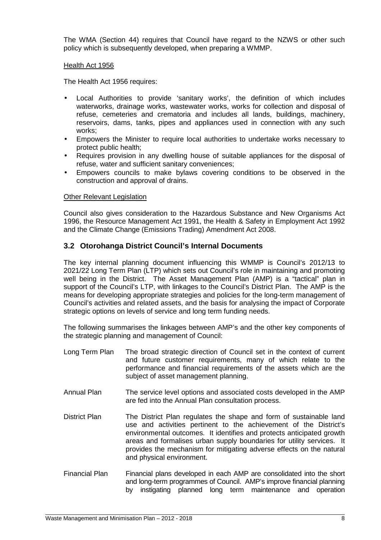The WMA (Section 44) requires that Council have regard to the NZWS or other such policy which is subsequently developed, when preparing a WMMP.

#### Health Act 1956

The Health Act 1956 requires:

- Local Authorities to provide 'sanitary works', the definition of which includes waterworks, drainage works, wastewater works, works for collection and disposal of refuse, cemeteries and crematoria and includes all lands, buildings, machinery, reservoirs, dams, tanks, pipes and appliances used in connection with any such works;
- Empowers the Minister to require local authorities to undertake works necessary to protect public health;
- Requires provision in any dwelling house of suitable appliances for the disposal of refuse, water and sufficient sanitary conveniences;
- Empowers councils to make bylaws covering conditions to be observed in the construction and approval of drains.

#### Other Relevant Legislation

Council also gives consideration to the Hazardous Substance and New Organisms Act 1996, the Resource Management Act 1991, the Health & Safety in Employment Act 1992 and the Climate Change (Emissions Trading) Amendment Act 2008.

### **3.2 Otorohanga District Council's Internal Documents**

The key internal planning document influencing this WMMP is Council's 2012/13 to 2021/22 Long Term Plan (LTP) which sets out Council's role in maintaining and promoting well being in the District. The Asset Management Plan (AMP) is a "tactical" plan in support of the Council's LTP, with linkages to the Council's District Plan. The AMP is the means for developing appropriate strategies and policies for the long-term management of Council's activities and related assets, and the basis for analysing the impact of Corporate strategic options on levels of service and long term funding needs.

The following summarises the linkages between AMP's and the other key components of the strategic planning and management of Council:

- Long Term Plan The broad strategic direction of Council set in the context of current and future customer requirements, many of which relate to the performance and financial requirements of the assets which are the subject of asset management planning.
- Annual Plan The service level options and associated costs developed in the AMP are fed into the Annual Plan consultation process.
- District Plan The District Plan regulates the shape and form of sustainable land use and activities pertinent to the achievement of the District's environmental outcomes. It identifies and protects anticipated growth areas and formalises urban supply boundaries for utility services. It provides the mechanism for mitigating adverse effects on the natural and physical environment.
- Financial Plan Financial plans developed in each AMP are consolidated into the short and long-term programmes of Council. AMP's improve financial planning by instigating planned long term maintenance and operation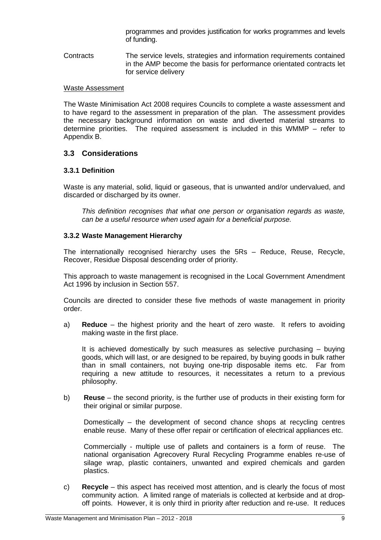programmes and provides justification for works programmes and levels of funding.

Contracts The service levels, strategies and information requirements contained in the AMP become the basis for performance orientated contracts let for service delivery

#### Waste Assessment

The Waste Minimisation Act 2008 requires Councils to complete a waste assessment and to have regard to the assessment in preparation of the plan. The assessment provides the necessary background information on waste and diverted material streams to determine priorities. The required assessment is included in this WMMP – refer to Appendix B.

#### **3.3 Considerations**

#### **3.3.1 Definition**

Waste is any material, solid, liquid or gaseous, that is unwanted and/or undervalued, and discarded or discharged by its owner.

 This definition recognises that what one person or organisation regards as waste, can be a useful resource when used again for a beneficial purpose.

#### **3.3.2 Waste Management Hierarchy**

The internationally recognised hierarchy uses the 5Rs – Reduce, Reuse, Recycle, Recover, Residue Disposal descending order of priority.

This approach to waste management is recognised in the Local Government Amendment Act 1996 by inclusion in Section 557.

Councils are directed to consider these five methods of waste management in priority order.

a) **Reduce** – the highest priority and the heart of zero waste. It refers to avoiding making waste in the first place.

It is achieved domestically by such measures as selective purchasing – buying goods, which will last, or are designed to be repaired, by buying goods in bulk rather than in small containers, not buying one-trip disposable items etc. Far from requiring a new attitude to resources, it necessitates a return to a previous philosophy.

b) **Reuse** – the second priority, is the further use of products in their existing form for their original or similar purpose.

Domestically – the development of second chance shops at recycling centres enable reuse. Many of these offer repair or certification of electrical appliances etc.

Commercially - multiple use of pallets and containers is a form of reuse. The national organisation Agrecovery Rural Recycling Programme enables re-use of silage wrap, plastic containers, unwanted and expired chemicals and garden plastics.

c) **Recycle** – this aspect has received most attention, and is clearly the focus of most community action. A limited range of materials is collected at kerbside and at dropoff points. However, it is only third in priority after reduction and re-use. It reduces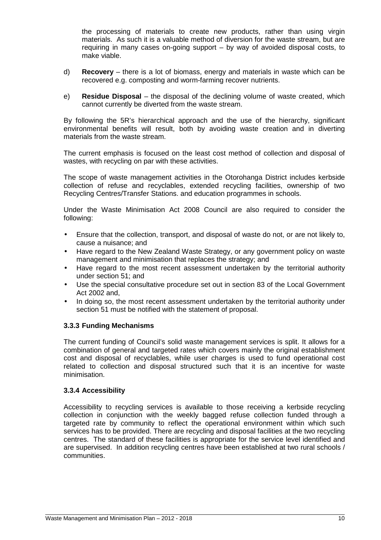the processing of materials to create new products, rather than using virgin materials. As such it is a valuable method of diversion for the waste stream, but are requiring in many cases on-going support – by way of avoided disposal costs, to make viable.

- d) **Recovery** there is a lot of biomass, energy and materials in waste which can be recovered e.g. composting and worm-farming recover nutrients.
- e) **Residue Disposal** the disposal of the declining volume of waste created, which cannot currently be diverted from the waste stream.

By following the 5R's hierarchical approach and the use of the hierarchy, significant environmental benefits will result, both by avoiding waste creation and in diverting materials from the waste stream.

The current emphasis is focused on the least cost method of collection and disposal of wastes, with recycling on par with these activities.

The scope of waste management activities in the Otorohanga District includes kerbside collection of refuse and recyclables, extended recycling facilities, ownership of two Recycling Centres/Transfer Stations. and education programmes in schools.

Under the Waste Minimisation Act 2008 Council are also required to consider the following:

- Ensure that the collection, transport, and disposal of waste do not, or are not likely to, cause a nuisance; and
- Have regard to the New Zealand Waste Strategy, or any government policy on waste management and minimisation that replaces the strategy; and
- Have regard to the most recent assessment undertaken by the territorial authority under section 51; and
- Use the special consultative procedure set out in section 83 of the Local Government Act 2002 and,
- In doing so, the most recent assessment undertaken by the territorial authority under section 51 must be notified with the statement of proposal.

#### **3.3.3 Funding Mechanisms**

The current funding of Council's solid waste management services is split. It allows for a combination of general and targeted rates which covers mainly the original establishment cost and disposal of recyclables, while user charges is used to fund operational cost related to collection and disposal structured such that it is an incentive for waste minimisation.

#### **3.3.4 Accessibility**

Accessibility to recycling services is available to those receiving a kerbside recycling collection in conjunction with the weekly bagged refuse collection funded through a targeted rate by community to reflect the operational environment within which such services has to be provided. There are recycling and disposal facilities at the two recycling centres. The standard of these facilities is appropriate for the service level identified and are supervised. In addition recycling centres have been established at two rural schools / communities.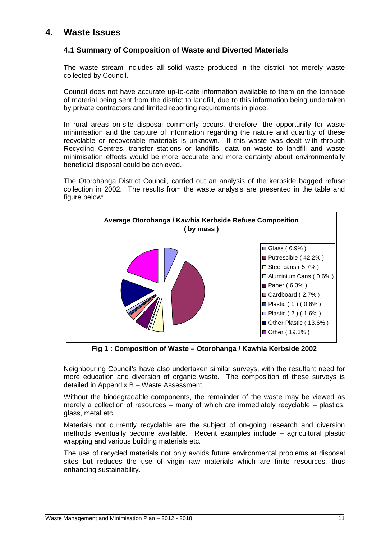# **4. Waste Issues**

#### **4.1 Summary of Composition of Waste and Diverted Materials**

The waste stream includes all solid waste produced in the district not merely waste collected by Council.

Council does not have accurate up-to-date information available to them on the tonnage of material being sent from the district to landfill, due to this information being undertaken by private contractors and limited reporting requirements in place.

In rural areas on-site disposal commonly occurs, therefore, the opportunity for waste minimisation and the capture of information regarding the nature and quantity of these recyclable or recoverable materials is unknown. If this waste was dealt with through Recycling Centres, transfer stations or landfills, data on waste to landfill and waste minimisation effects would be more accurate and more certainty about environmentally beneficial disposal could be achieved.

The Otorohanga District Council, carried out an analysis of the kerbside bagged refuse collection in 2002. The results from the waste analysis are presented in the table and figure below:



**Fig 1 : Composition of Waste – Otorohanga / Kawhia Kerbside 2002** 

Neighbouring Council's have also undertaken similar surveys, with the resultant need for more education and diversion of organic waste. The composition of these surveys is detailed in Appendix B – Waste Assessment.

Without the biodegradable components, the remainder of the waste may be viewed as merely a collection of resources – many of which are immediately recyclable – plastics, glass, metal etc.

Materials not currently recyclable are the subject of on-going research and diversion methods eventually become available. Recent examples include – agricultural plastic wrapping and various building materials etc.

The use of recycled materials not only avoids future environmental problems at disposal sites but reduces the use of virgin raw materials which are finite resources, thus enhancing sustainability.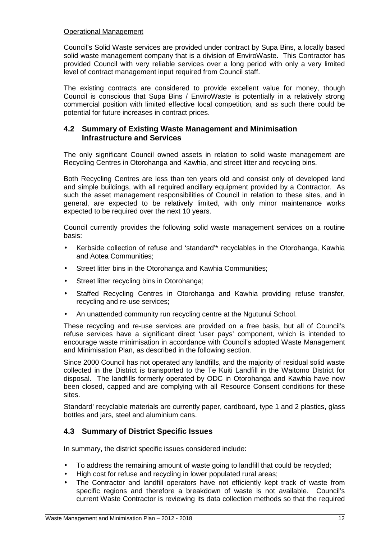#### Operational Management

Council's Solid Waste services are provided under contract by Supa Bins, a locally based solid waste management company that is a division of EnviroWaste. This Contractor has provided Council with very reliable services over a long period with only a very limited level of contract management input required from Council staff.

 The existing contracts are considered to provide excellent value for money, though Council is conscious that Supa Bins / EnviroWaste is potentially in a relatively strong commercial position with limited effective local competition, and as such there could be potential for future increases in contract prices.

#### **4.2 Summary of Existing Waste Management and Minimisation Infrastructure and Services**

The only significant Council owned assets in relation to solid waste management are Recycling Centres in Otorohanga and Kawhia, and street litter and recycling bins.

 Both Recycling Centres are less than ten years old and consist only of developed land and simple buildings, with all required ancillary equipment provided by a Contractor. As such the asset management responsibilities of Council in relation to these sites, and in general, are expected to be relatively limited, with only minor maintenance works expected to be required over the next 10 years.

 Council currently provides the following solid waste management services on a routine basis:

- Kerbside collection of refuse and 'standard'\* recyclables in the Otorohanga, Kawhia and Aotea Communities;
- Street litter bins in the Otorohanga and Kawhia Communities;
- Street litter recycling bins in Otorohanga;
- Staffed Recycling Centres in Otorohanga and Kawhia providing refuse transfer, recycling and re-use services;
- An unattended community run recycling centre at the Ngutunui School.

 These recycling and re-use services are provided on a free basis, but all of Council's refuse services have a significant direct 'user pays' component, which is intended to encourage waste minimisation in accordance with Council's adopted Waste Management and Minimisation Plan, as described in the following section.

 Since 2000 Council has not operated any landfills, and the majority of residual solid waste collected in the District is transported to the Te Kuiti Landfill in the Waitomo District for disposal. The landfills formerly operated by ODC in Otorohanga and Kawhia have now been closed, capped and are complying with all Resource Consent conditions for these sites.

 Standard' recyclable materials are currently paper, cardboard, type 1 and 2 plastics, glass bottles and jars, steel and aluminium cans.

#### **4.3 Summary of District Specific Issues**

In summary, the district specific issues considered include:

- To address the remaining amount of waste going to landfill that could be recycled;
- High cost for refuse and recycling in lower populated rural areas;
- The Contractor and landfill operators have not efficiently kept track of waste from specific regions and therefore a breakdown of waste is not available. Council's current Waste Contractor is reviewing its data collection methods so that the required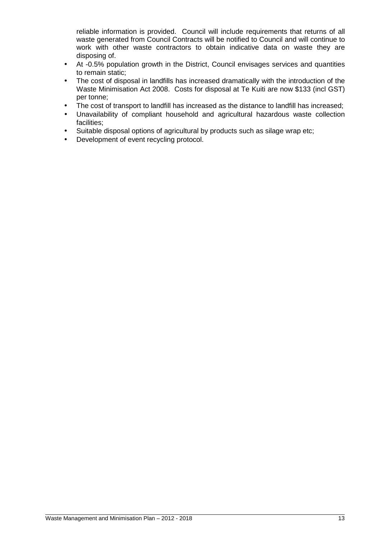reliable information is provided. Council will include requirements that returns of all waste generated from Council Contracts will be notified to Council and will continue to work with other waste contractors to obtain indicative data on waste they are disposing of.

- At -0.5% population growth in the District, Council envisages services and quantities to remain static;
- The cost of disposal in landfills has increased dramatically with the introduction of the Waste Minimisation Act 2008. Costs for disposal at Te Kuiti are now \$133 (incl GST) per tonne;
- The cost of transport to landfill has increased as the distance to landfill has increased;
- Unavailability of compliant household and agricultural hazardous waste collection facilities;
- Suitable disposal options of agricultural by products such as silage wrap etc;
- Development of event recycling protocol.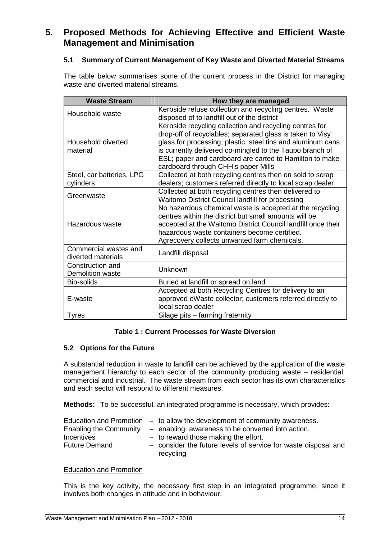# **5. Proposed Methods for Achieving Effective and Efficient Waste Management and Minimisation**

#### **5.1 Summary of Current Management of Key Waste and Diverted Material Streams**

The table below summarises some of the current process in the District for managing waste and diverted material streams.

| <b>Waste Stream</b>                         | How they are managed                                                                                                                                                                                                                                                                                                                              |
|---------------------------------------------|---------------------------------------------------------------------------------------------------------------------------------------------------------------------------------------------------------------------------------------------------------------------------------------------------------------------------------------------------|
| Household waste                             | Kerbside refuse collection and recycling centres. Waste<br>disposed of to landfill out of the district                                                                                                                                                                                                                                            |
| Household diverted<br>material              | Kerbside recycling collection and recycling centres for<br>drop-off of recyclables; separated glass is taken to Visy<br>glass for processing; plastic, steel tins and aluminum cans<br>is currently delivered co-mingled to the Taupo branch of<br>ESL; paper and cardboard are carted to Hamilton to make<br>cardboard through CHH's paper Mills |
| Steel, car batteries, LPG<br>cylinders      | Collected at both recycling centres then on sold to scrap<br>dealers; customers referred directly to local scrap dealer                                                                                                                                                                                                                           |
| Greenwaste                                  | Collected at both recycling centres then delivered to<br>Waitomo District Council landfill for processing                                                                                                                                                                                                                                         |
| Hazardous waste                             | No hazardous chemical waste is accepted at the recycling<br>centres within the district but small amounts will be<br>accepted at the Waitomo District Council landfill once their<br>hazardous waste containers become certified.<br>Agrecovery collects unwanted farm chemicals.                                                                 |
| Commercial wastes and<br>diverted materials | Landfill disposal                                                                                                                                                                                                                                                                                                                                 |
| Construction and<br>Demolition waste        | Unknown                                                                                                                                                                                                                                                                                                                                           |
| Bio-solids                                  | Buried at landfill or spread on land                                                                                                                                                                                                                                                                                                              |
| E-waste                                     | Accepted at both Recycling Centres for delivery to an<br>approved eWaste collector; customers referred directly to<br>local scrap dealer                                                                                                                                                                                                          |
| <b>Tyres</b>                                | Silage pits - farming fraternity                                                                                                                                                                                                                                                                                                                  |

#### **Table 1 : Current Processes for Waste Diversion**

#### **5.2 Options for the Future**

 A substantial reduction in waste to landfill can be achieved by the application of the waste management hierarchy to each sector of the community producing waste – residential, commercial and industrial. The waste stream from each sector has its own characteristics and each sector will respond to different measures.

**Methods:** To be successful, an integrated programme is necessary, which provides:

|                               | Education and Promotion $-$ to allow the development of community awareness. |
|-------------------------------|------------------------------------------------------------------------------|
| <b>Enabling the Community</b> | - enabling awareness to be converted into action.                            |
| <i>Incentives</i>             | $-$ to reward those making the effort.                                       |
| <b>Future Demand</b>          | - consider the future levels of service for waste disposal and               |
|                               | recycling                                                                    |

#### Education and Promotion

 This is the key activity, the necessary first step in an integrated programme, since it involves both changes in attitude and in behaviour.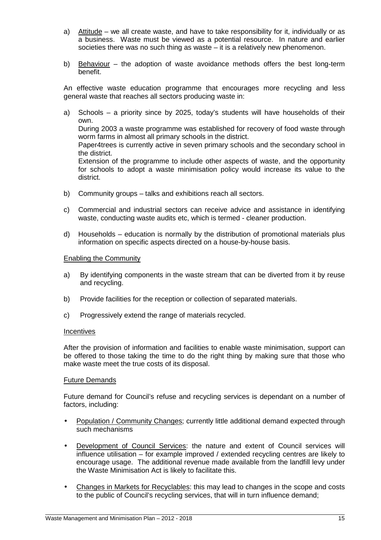- a) Attitude we all create waste, and have to take responsibility for it, individually or as a business. Waste must be viewed as a potential resource. In nature and earlier societies there was no such thing as waste – it is a relatively new phenomenon.
- b) Behaviour the adoption of waste avoidance methods offers the best long-term benefit.

An effective waste education programme that encourages more recycling and less general waste that reaches all sectors producing waste in:

- a) Schools a priority since by 2025, today's students will have households of their own. During 2003 a waste programme was established for recovery of food waste through worm farms in almost all primary schools in the district. Paper4trees is currently active in seven primary schools and the secondary school in the district. Extension of the programme to include other aspects of waste, and the opportunity for schools to adopt a waste minimisation policy would increase its value to the district.
- b) Community groups talks and exhibitions reach all sectors.
- c) Commercial and industrial sectors can receive advice and assistance in identifying waste, conducting waste audits etc, which is termed - cleaner production.
- d) Households education is normally by the distribution of promotional materials plus information on specific aspects directed on a house-by-house basis.

#### Enabling the Community

- a) By identifying components in the waste stream that can be diverted from it by reuse and recycling.
- b) Provide facilities for the reception or collection of separated materials.
- c) Progressively extend the range of materials recycled.

#### **Incentives**

 After the provision of information and facilities to enable waste minimisation, support can be offered to those taking the time to do the right thing by making sure that those who make waste meet the true costs of its disposal.

#### Future Demands

 Future demand for Council's refuse and recycling services is dependant on a number of factors, including:

- Population / Community Changes; currently little additional demand expected through such mechanisms
- Development of Council Services: the nature and extent of Council services will influence utilisation – for example improved / extended recycling centres are likely to encourage usage. The additional revenue made available from the landfill levy under the Waste Minimisation Act is likely to facilitate this.
- Changes in Markets for Recyclables: this may lead to changes in the scope and costs to the public of Council's recycling services, that will in turn influence demand;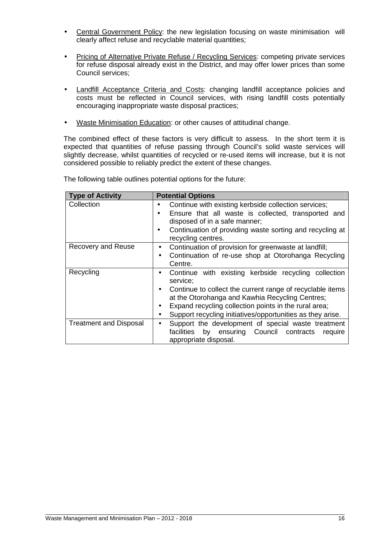- Central Government Policy: the new legislation focusing on waste minimisation will clearly affect refuse and recyclable material quantities;
- Pricing of Alternative Private Refuse / Recycling Services: competing private services for refuse disposal already exist in the District, and may offer lower prices than some Council services;
- Landfill Acceptance Criteria and Costs: changing landfill acceptance policies and costs must be reflected in Council services, with rising landfill costs potentially encouraging inappropriate waste disposal practices;
- Waste Minimisation Education: or other causes of attitudinal change.

The combined effect of these factors is very difficult to assess. In the short term it is expected that quantities of refuse passing through Council's solid waste services will slightly decrease, whilst quantities of recycled or re-used items will increase, but it is not considered possible to reliably predict the extent of these changes.

| <b>Type of Activity</b>       | <b>Potential Options</b>                                                                                                                                                                                                                                                                                             |
|-------------------------------|----------------------------------------------------------------------------------------------------------------------------------------------------------------------------------------------------------------------------------------------------------------------------------------------------------------------|
| Collection                    | Continue with existing kerbside collection services;<br>Ensure that all waste is collected, transported and<br>disposed of in a safe manner;<br>Continuation of providing waste sorting and recycling at<br>recycling centres.                                                                                       |
| Recovery and Reuse            | Continuation of provision for greenwaste at landfill;<br>Continuation of re-use shop at Otorohanga Recycling<br>Centre.                                                                                                                                                                                              |
| Recycling                     | Continue with existing kerbside recycling collection<br>$\bullet$<br>service:<br>Continue to collect the current range of recyclable items<br>at the Otorohanga and Kawhia Recycling Centres;<br>Expand recycling collection points in the rural area;<br>Support recycling initiatives/opportunities as they arise. |
| <b>Treatment and Disposal</b> | Support the development of special waste treatment<br>by ensuring Council contracts<br>facilities<br>require<br>appropriate disposal.                                                                                                                                                                                |

The following table outlines potential options for the future: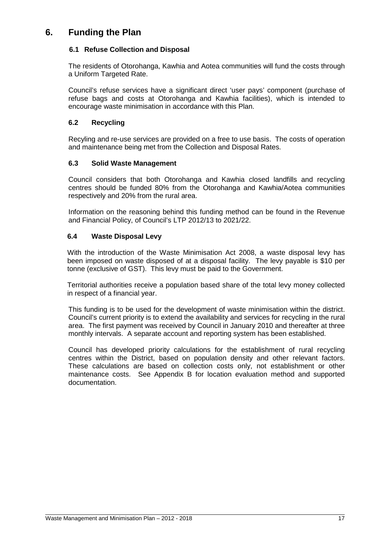# **6. Funding the Plan**

#### **6.1 Refuse Collection and Disposal**

The residents of Otorohanga, Kawhia and Aotea communities will fund the costs through a Uniform Targeted Rate.

Council's refuse services have a significant direct 'user pays' component (purchase of refuse bags and costs at Otorohanga and Kawhia facilities), which is intended to encourage waste minimisation in accordance with this Plan.

#### **6.2 Recycling**

Recyling and re-use services are provided on a free to use basis. The costs of operation and maintenance being met from the Collection and Disposal Rates.

#### **6.3 Solid Waste Management**

Council considers that both Otorohanga and Kawhia closed landfills and recycling centres should be funded 80% from the Otorohanga and Kawhia/Aotea communities respectively and 20% from the rural area.

Information on the reasoning behind this funding method can be found in the Revenue and Financial Policy, of Council's LTP 2012/13 to 2021/22.

#### **6.4 Waste Disposal Levy**

With the introduction of the Waste Minimisation Act 2008, a waste disposal levy has been imposed on waste disposed of at a disposal facility. The levy payable is \$10 per tonne (exclusive of GST). This levy must be paid to the Government.

Territorial authorities receive a population based share of the total levy money collected in respect of a financial year.

 This funding is to be used for the development of waste minimisation within the district. Council's current priority is to extend the availability and services for recycling in the rural area. The first payment was received by Council in January 2010 and thereafter at three monthly intervals. A separate account and reporting system has been established.

 Council has developed priority calculations for the establishment of rural recycling centres within the District, based on population density and other relevant factors. These calculations are based on collection costs only, not establishment or other maintenance costs. See Appendix B for location evaluation method and supported documentation.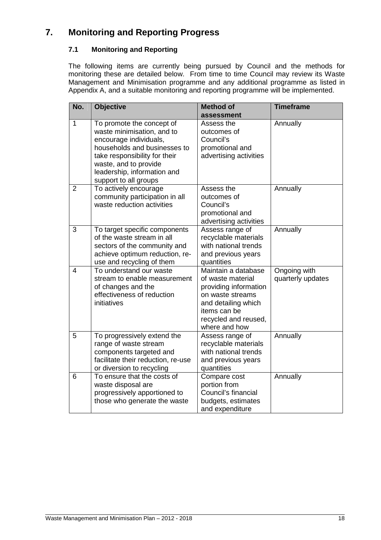# **7. Monitoring and Reporting Progress**

### **7.1 Monitoring and Reporting**

 The following items are currently being pursued by Council and the methods for monitoring these are detailed below. From time to time Council may review its Waste Management and Minimisation programme and any additional programme as listed in Appendix A, and a suitable monitoring and reporting programme will be implemented.

| No.            | <b>Objective</b>                               | <b>Method of</b>                      | <b>Timeframe</b>  |
|----------------|------------------------------------------------|---------------------------------------|-------------------|
| 1              | To promote the concept of                      | assessment<br>Assess the              | Annually          |
|                | waste minimisation, and to                     | outcomes of                           |                   |
|                | encourage individuals,                         | Council's                             |                   |
|                | households and businesses to                   | promotional and                       |                   |
|                | take responsibility for their                  | advertising activities                |                   |
|                | waste, and to provide                          |                                       |                   |
|                | leadership, information and                    |                                       |                   |
| $\overline{2}$ | support to all groups<br>To actively encourage | Assess the                            |                   |
|                | community participation in all                 | outcomes of                           | Annually          |
|                | waste reduction activities                     | Council's                             |                   |
|                |                                                | promotional and                       |                   |
|                |                                                | advertising activities                |                   |
| 3              | To target specific components                  | Assess range of                       | Annually          |
|                | of the waste stream in all                     | recyclable materials                  |                   |
|                | sectors of the community and                   | with national trends                  |                   |
|                | achieve optimum reduction, re-                 | and previous years                    |                   |
|                | use and recycling of them                      | quantities                            |                   |
| $\overline{4}$ | To understand our waste                        | Maintain a database                   | Ongoing with      |
|                | stream to enable measurement                   | of waste material                     | quarterly updates |
|                | of changes and the                             | providing information                 |                   |
|                | effectiveness of reduction                     | on waste streams                      |                   |
|                | initiatives                                    | and detailing which                   |                   |
|                |                                                | items can be                          |                   |
|                |                                                | recycled and reused,<br>where and how |                   |
| 5              | To progressively extend the                    | Assess range of                       | Annually          |
|                | range of waste stream                          | recyclable materials                  |                   |
|                | components targeted and                        | with national trends                  |                   |
|                | facilitate their reduction, re-use             | and previous years                    |                   |
|                | or diversion to recycling                      | quantities                            |                   |
| 6              | To ensure that the costs of                    | Compare cost                          | Annually          |
|                | waste disposal are                             | portion from                          |                   |
|                | progressively apportioned to                   | Council's financial                   |                   |
|                | those who generate the waste                   | budgets, estimates                    |                   |
|                |                                                | and expenditure                       |                   |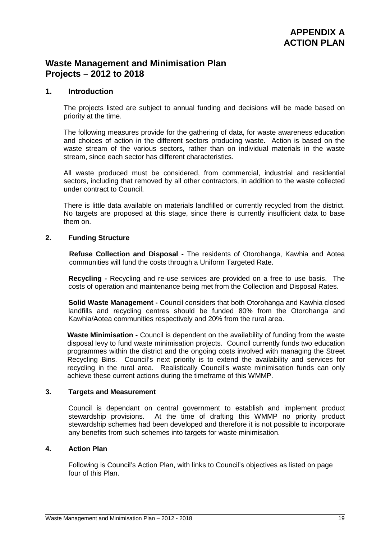## **Waste Management and Minimisation Plan Projects – 2012 to 2018**

#### **1. Introduction**

The projects listed are subject to annual funding and decisions will be made based on priority at the time.

The following measures provide for the gathering of data, for waste awareness education and choices of action in the different sectors producing waste. Action is based on the waste stream of the various sectors, rather than on individual materials in the waste stream, since each sector has different characteristics.

All waste produced must be considered, from commercial, industrial and residential sectors, including that removed by all other contractors, in addition to the waste collected under contract to Council.

There is little data available on materials landfilled or currently recycled from the district. No targets are proposed at this stage, since there is currently insufficient data to base them on.

#### **2. Funding Structure**

**Refuse Collection and Disposal -** The residents of Otorohanga, Kawhia and Aotea communities will fund the costs through a Uniform Targeted Rate.

**Recycling -** Recycling and re-use services are provided on a free to use basis. The costs of operation and maintenance being met from the Collection and Disposal Rates.

**Solid Waste Management -** Council considers that both Otorohanga and Kawhia closed landfills and recycling centres should be funded 80% from the Otorohanga and Kawhia/Aotea communities respectively and 20% from the rural area.

**Waste Minimisation -** Council is dependent on the availability of funding from the waste disposal levy to fund waste minimisation projects. Council currently funds two education programmes within the district and the ongoing costs involved with managing the Street Recycling Bins. Council's next priority is to extend the availability and services for recycling in the rural area. Realistically Council's waste minimisation funds can only achieve these current actions during the timeframe of this WMMP.

#### **3. Targets and Measurement**

 Council is dependant on central government to establish and implement product stewardship provisions. At the time of drafting this WMMP no priority product stewardship schemes had been developed and therefore it is not possible to incorporate any benefits from such schemes into targets for waste minimisation.

#### **4. Action Plan**

 Following is Council's Action Plan, with links to Council's objectives as listed on page four of this Plan.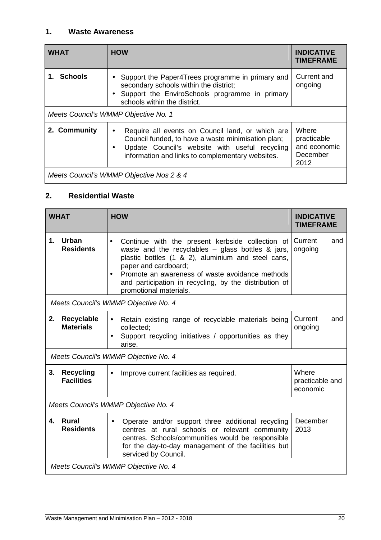### **1. Waste Awareness**

| <b>WHAT</b>                              | <b>HOW</b>                                                                                                                                                                                                                | <b>INDICATIVE</b><br><b>TIMEFRAME</b>                    |  |  |  |
|------------------------------------------|---------------------------------------------------------------------------------------------------------------------------------------------------------------------------------------------------------------------------|----------------------------------------------------------|--|--|--|
| 1. Schools                               | Support the Paper4Trees programme in primary and<br>secondary schools within the district;<br>Support the EnviroSchools programme in primary<br>schools within the district.                                              | Current and<br>ongoing                                   |  |  |  |
|                                          | Meets Council's WMMP Objective No. 1                                                                                                                                                                                      |                                                          |  |  |  |
| 2. Community                             | Require all events on Council land, or which are<br>$\bullet$<br>Council funded, to have a waste minimisation plan;<br>Update Council's website with useful recycling<br>information and links to complementary websites. | Where<br>practicable<br>and economic<br>December<br>2012 |  |  |  |
| Meets Council's WMMP Objective Nos 2 & 4 |                                                                                                                                                                                                                           |                                                          |  |  |  |

# **2. Residential Waste**

|    | <b>WHAT</b>                           | <b>HOW</b>                                                                                                                                                                                                                                                                                                                                | <b>INDICATIVE</b><br><b>TIMEFRAME</b> |  |  |  |
|----|---------------------------------------|-------------------------------------------------------------------------------------------------------------------------------------------------------------------------------------------------------------------------------------------------------------------------------------------------------------------------------------------|---------------------------------------|--|--|--|
| 1. | Urban<br><b>Residents</b>             | Continue with the present kerbside collection of<br>$\bullet$<br>waste and the recyclables $-$ glass bottles & jars,<br>plastic bottles (1 & 2), aluminium and steel cans,<br>paper and cardboard;<br>Promote an awareness of waste avoidance methods<br>and participation in recycling, by the distribution of<br>promotional materials. | Current<br>and<br>ongoing             |  |  |  |
|    |                                       | Meets Council's WMMP Objective No. 4                                                                                                                                                                                                                                                                                                      |                                       |  |  |  |
| 2. | Recyclable<br><b>Materials</b>        | Retain existing range of recyclable materials being<br>$\bullet$<br>collected:<br>Support recycling initiatives / opportunities as they<br>$\bullet$<br>arise.                                                                                                                                                                            | Current<br>and<br>ongoing             |  |  |  |
|    |                                       | Meets Council's WMMP Objective No. 4                                                                                                                                                                                                                                                                                                      |                                       |  |  |  |
| 3. | <b>Recycling</b><br><b>Facilities</b> | Improve current facilities as required.<br>$\bullet$                                                                                                                                                                                                                                                                                      | Where<br>practicable and<br>economic  |  |  |  |
|    | Meets Council's WMMP Objective No. 4  |                                                                                                                                                                                                                                                                                                                                           |                                       |  |  |  |
| 4. | Rural<br><b>Residents</b>             | Operate and/or support three additional recycling<br>$\bullet$<br>centres at rural schools or relevant community<br>centres. Schools/communities would be responsible<br>for the day-to-day management of the facilities but<br>serviced by Council.                                                                                      | December<br>2013                      |  |  |  |
|    | Meets Council's WMMP Objective No. 4  |                                                                                                                                                                                                                                                                                                                                           |                                       |  |  |  |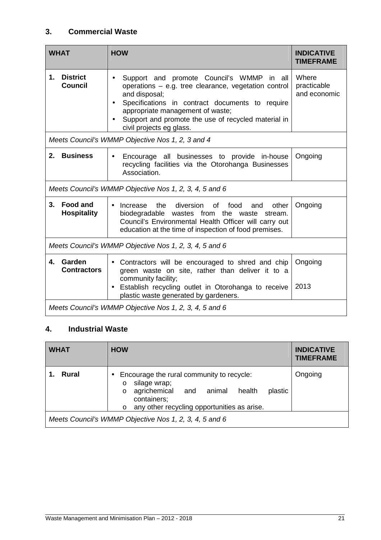### **3. Commercial Waste**

|    | <b>WHAT</b>                                            | <b>HOW</b>                                                                                                                                                                                                                                                                                   | <b>INDICATIVE</b><br><b>TIMEFRAME</b> |  |  |
|----|--------------------------------------------------------|----------------------------------------------------------------------------------------------------------------------------------------------------------------------------------------------------------------------------------------------------------------------------------------------|---------------------------------------|--|--|
| 1. | <b>District</b><br><b>Council</b>                      | Support and promote Council's WMMP in all<br>operations – e.g. tree clearance, vegetation control<br>and disposal;<br>Specifications in contract documents to require<br>appropriate management of waste;<br>Support and promote the use of recycled material in<br>civil projects eg glass. | Where<br>practicable<br>and economic  |  |  |
|    |                                                        | Meets Council's WMMP Objective Nos 1, 2, 3 and 4                                                                                                                                                                                                                                             |                                       |  |  |
| 2. | <b>Business</b>                                        | Encourage all businesses to provide in-house<br>$\bullet$<br>recycling facilities via the Otorohanga Businesses<br>Association.                                                                                                                                                              | Ongoing                               |  |  |
|    |                                                        | Meets Council's WMMP Objective Nos 1, 2, 3, 4, 5 and 6                                                                                                                                                                                                                                       |                                       |  |  |
| 3. | Food and<br><b>Hospitality</b>                         | diversion<br>the<br>of<br>food<br>other<br>Increase<br>and<br>$\bullet$<br>biodegradable wastes from the waste stream.<br>Council's Environmental Health Officer will carry out<br>education at the time of inspection of food premises.                                                     | Ongoing                               |  |  |
|    | Meets Council's WMMP Objective Nos 1, 2, 3, 4, 5 and 6 |                                                                                                                                                                                                                                                                                              |                                       |  |  |
| 4. | Garden<br><b>Contractors</b>                           | Contractors will be encouraged to shred and chip<br>$\bullet$<br>green waste on site, rather than deliver it to a<br>community facility;<br>Establish recycling outlet in Otorohanga to receive<br>plastic waste generated by gardeners.                                                     | Ongoing<br>2013                       |  |  |
|    | Meets Council's WMMP Objective Nos 1, 2, 3, 4, 5 and 6 |                                                                                                                                                                                                                                                                                              |                                       |  |  |

## **4. Industrial Waste**

| <b>WHAT</b>                                            | <b>HOW</b>                                                                                                                                                                                      | <b>INDICATIVE</b><br><b>TIMEFRAME</b> |  |  |
|--------------------------------------------------------|-------------------------------------------------------------------------------------------------------------------------------------------------------------------------------------------------|---------------------------------------|--|--|
| Rural                                                  | Encourage the rural community to recycle:<br>silage wrap;<br>$\circ$<br>agrichemical and animal<br>plastic<br>health<br>$\circ$<br>containers;<br>o any other recycling opportunities as arise. | Ongoing                               |  |  |
| Meets Council's WMMP Objective Nos 1, 2, 3, 4, 5 and 6 |                                                                                                                                                                                                 |                                       |  |  |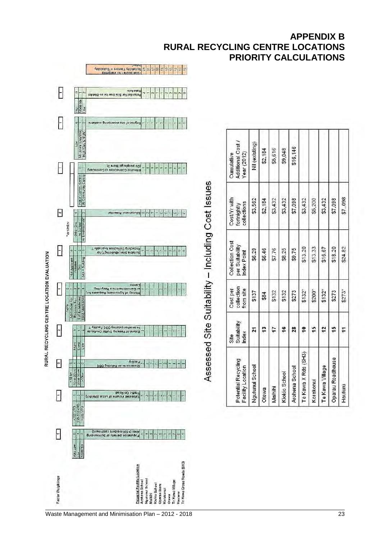

### **APPENDIX B RURAL RECYCLING CENTRE LOCATIONS PRIORITY CALCULATIONS**

\$7,098

\$24.82

 $$273"$ 

Hauturu

45 Ξ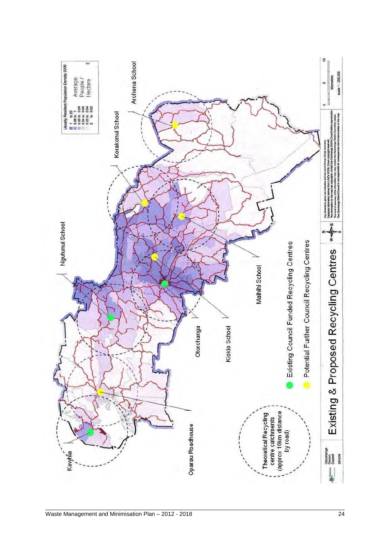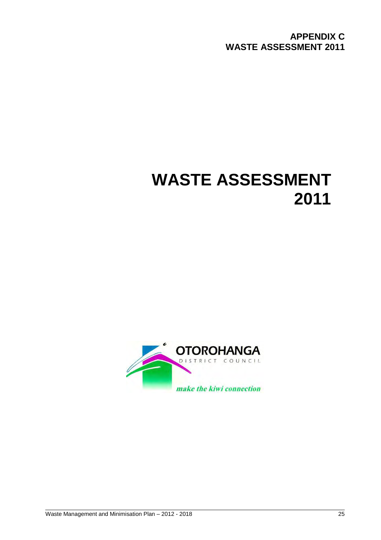**APPENDIX C WASTE ASSESSMENT 2011** 

# **WASTE ASSESSMENT 2011**

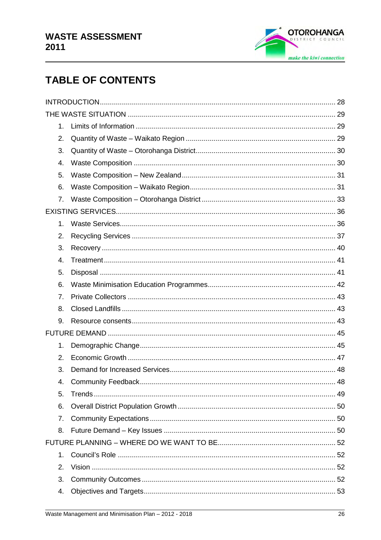

# **TABLE OF CONTENTS**

| 1. |  |  |  |
|----|--|--|--|
| 2. |  |  |  |
| 3. |  |  |  |
| 4. |  |  |  |
| 5. |  |  |  |
| 6. |  |  |  |
| 7. |  |  |  |
|    |  |  |  |
| 1. |  |  |  |
| 2. |  |  |  |
| 3. |  |  |  |
| 4. |  |  |  |
| 5. |  |  |  |
| 6. |  |  |  |
| 7. |  |  |  |
| 8. |  |  |  |
| 9. |  |  |  |
|    |  |  |  |
| 1. |  |  |  |
| 2. |  |  |  |
| 3. |  |  |  |
| 4. |  |  |  |
| 5. |  |  |  |
| 6. |  |  |  |
| 7. |  |  |  |
| 8. |  |  |  |
|    |  |  |  |
| 1. |  |  |  |
| 2. |  |  |  |
| 3. |  |  |  |
| 4. |  |  |  |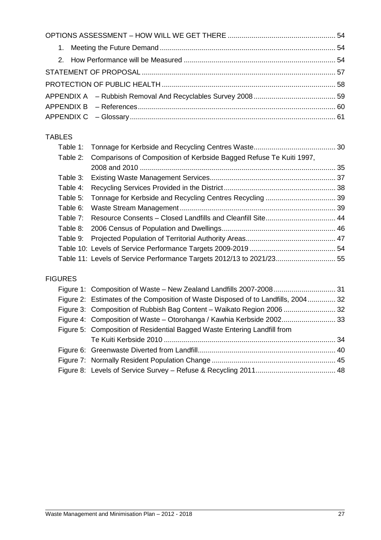### TABLES

|  | Table 2: Comparisons of Composition of Kerbside Bagged Refuse Te Kuiti 1997, |  |
|--|------------------------------------------------------------------------------|--|
|  |                                                                              |  |
|  |                                                                              |  |
|  |                                                                              |  |
|  |                                                                              |  |
|  |                                                                              |  |
|  | Table 7: Resource Consents - Closed Landfills and Cleanfill Site 44          |  |
|  |                                                                              |  |
|  |                                                                              |  |
|  |                                                                              |  |
|  | Table 11: Levels of Service Performance Targets 2012/13 to 2021/23 55        |  |
|  |                                                                              |  |

### FIGURES

|  | Figure 2: Estimates of the Composition of Waste Disposed of to Landfills, 2004 32 |  |
|--|-----------------------------------------------------------------------------------|--|
|  |                                                                                   |  |
|  | Figure 4: Composition of Waste - Otorohanga / Kawhia Kerbside 2002 33             |  |
|  | Figure 5: Composition of Residential Bagged Waste Entering Landfill from          |  |
|  |                                                                                   |  |
|  |                                                                                   |  |
|  |                                                                                   |  |
|  |                                                                                   |  |
|  |                                                                                   |  |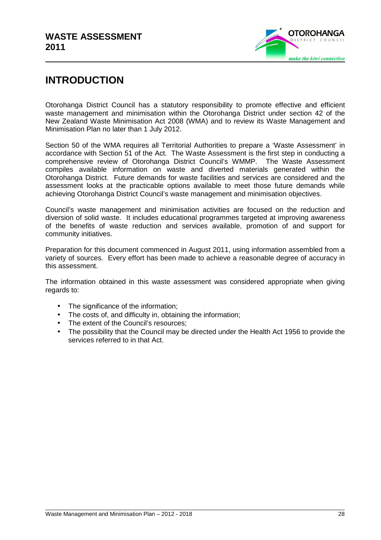

# **INTRODUCTION**

Otorohanga District Council has a statutory responsibility to promote effective and efficient waste management and minimisation within the Otorohanga District under section 42 of the New Zealand Waste Minimisation Act 2008 (WMA) and to review its Waste Management and Minimisation Plan no later than 1 July 2012.

Section 50 of the WMA requires all Territorial Authorities to prepare a 'Waste Assessment' in accordance with Section 51 of the Act. The Waste Assessment is the first step in conducting a comprehensive review of Otorohanga District Council's WMMP. The Waste Assessment compiles available information on waste and diverted materials generated within the Otorohanga District. Future demands for waste facilities and services are considered and the assessment looks at the practicable options available to meet those future demands while achieving Otorohanga District Council's waste management and minimisation objectives.

Council's waste management and minimisation activities are focused on the reduction and diversion of solid waste. It includes educational programmes targeted at improving awareness of the benefits of waste reduction and services available, promotion of and support for community initiatives.

Preparation for this document commenced in August 2011, using information assembled from a variety of sources. Every effort has been made to achieve a reasonable degree of accuracy in this assessment.

The information obtained in this waste assessment was considered appropriate when giving regards to:

- The significance of the information;
- The costs of, and difficulty in, obtaining the information;
- The extent of the Council's resources:
- The possibility that the Council may be directed under the Health Act 1956 to provide the services referred to in that Act.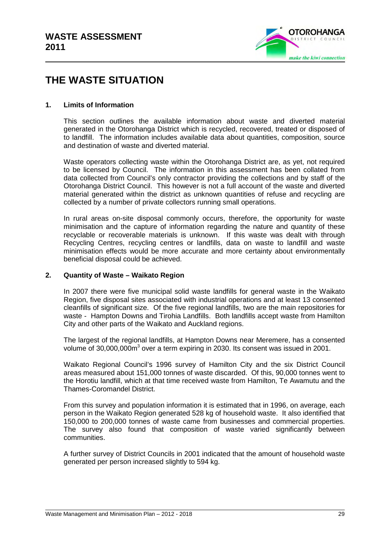

# **THE WASTE SITUATION**

#### **1. Limits of Information**

This section outlines the available information about waste and diverted material generated in the Otorohanga District which is recycled, recovered, treated or disposed of to landfill. The information includes available data about quantities, composition, source and destination of waste and diverted material.

Waste operators collecting waste within the Otorohanga District are, as yet, not required to be licensed by Council. The information in this assessment has been collated from data collected from Council's only contractor providing the collections and by staff of the Otorohanga District Council. This however is not a full account of the waste and diverted material generated within the district as unknown quantities of refuse and recycling are collected by a number of private collectors running small operations.

In rural areas on-site disposal commonly occurs, therefore, the opportunity for waste minimisation and the capture of information regarding the nature and quantity of these recyclable or recoverable materials is unknown. If this waste was dealt with through Recycling Centres, recycling centres or landfills, data on waste to landfill and waste minimisation effects would be more accurate and more certainty about environmentally beneficial disposal could be achieved.

#### **2. Quantity of Waste – Waikato Region**

In 2007 there were five municipal solid waste landfills for general waste in the Waikato Region, five disposal sites associated with industrial operations and at least 13 consented cleanfills of significant size. Of the five regional landfills, two are the main repositories for waste - Hampton Downs and Tirohia Landfills. Both landfills accept waste from Hamilton City and other parts of the Waikato and Auckland regions.

The largest of the regional landfills, at Hampton Downs near Meremere, has a consented volume of 30,000,000 $m<sup>3</sup>$  over a term expiring in 2030. Its consent was issued in 2001.

Waikato Regional Council's 1996 survey of Hamilton City and the six District Council areas measured about 151,000 tonnes of waste discarded. Of this, 90,000 tonnes went to the Horotiu landfill, which at that time received waste from Hamilton, Te Awamutu and the Thames-Coromandel District.

From this survey and population information it is estimated that in 1996, on average, each person in the Waikato Region generated 528 kg of household waste. It also identified that 150,000 to 200,000 tonnes of waste came from businesses and commercial properties. The survey also found that composition of waste varied significantly between communities.

A further survey of District Councils in 2001 indicated that the amount of household waste generated per person increased slightly to 594 kg.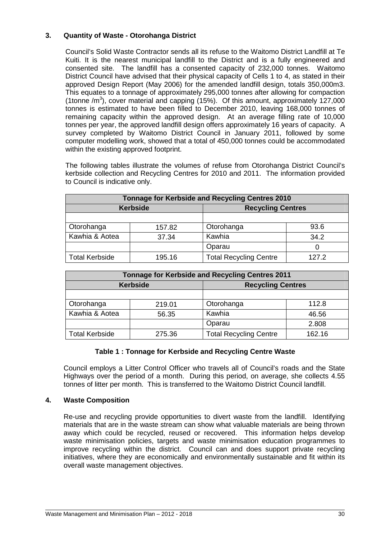#### **3. Quantity of Waste - Otorohanga District**

Council's Solid Waste Contractor sends all its refuse to the Waitomo District Landfill at Te Kuiti. It is the nearest municipal landfill to the District and is a fully engineered and consented site. The landfill has a consented capacity of 232,000 tonnes. Waitomo District Council have advised that their physical capacity of Cells 1 to 4, as stated in their approved Design Report (May 2006) for the amended landfill design, totals 350,000m3. This equates to a tonnage of approximately 295,000 tonnes after allowing for compaction (1tonne  $/m<sup>3</sup>$ ), cover material and capping (15%). Of this amount, approximately 127,000 tonnes is estimated to have been filled to December 2010, leaving 168,000 tonnes of remaining capacity within the approved design. At an average filling rate of 10,000 tonnes per year, the approved landfill design offers approximately 16 years of capacity. A survey completed by Waitomo District Council in January 2011, followed by some computer modelling work, showed that a total of 450,000 tonnes could be accommodated within the existing approved footprint.

The following tables illustrate the volumes of refuse from Otorohanga District Council's kerbside collection and Recycling Centres for 2010 and 2011. The information provided to Council is indicative only.

| Tonnage for Kerbside and Recycling Centres 2010 |                 |                               |       |  |  |  |  |
|-------------------------------------------------|-----------------|-------------------------------|-------|--|--|--|--|
|                                                 | <b>Kerbside</b> | <b>Recycling Centres</b>      |       |  |  |  |  |
|                                                 |                 |                               |       |  |  |  |  |
| Otorohanga                                      | 157.82          | Otorohanga                    | 93.6  |  |  |  |  |
| Kawhia & Aotea                                  | 37.34           | Kawhia                        | 34.2  |  |  |  |  |
|                                                 |                 | Oparau                        |       |  |  |  |  |
| <b>Total Kerbside</b>                           | 195.16          | <b>Total Recycling Centre</b> | 127.2 |  |  |  |  |

| <b>Tonnage for Kerbside and Recycling Centres 2011</b> |                 |                               |        |  |  |  |  |
|--------------------------------------------------------|-----------------|-------------------------------|--------|--|--|--|--|
|                                                        | <b>Kerbside</b> | <b>Recycling Centres</b>      |        |  |  |  |  |
|                                                        |                 |                               |        |  |  |  |  |
| Otorohanga                                             | 219.01          | Otorohanga                    | 112.8  |  |  |  |  |
| Kawhia & Aotea                                         | 56.35           | Kawhia                        | 46.56  |  |  |  |  |
|                                                        |                 | Oparau                        | 2.808  |  |  |  |  |
| Total Kerbside                                         | 275.36          | <b>Total Recycling Centre</b> | 162.16 |  |  |  |  |

#### **Table 1 : Tonnage for Kerbside and Recycling Centre Waste**

 Council employs a Litter Control Officer who travels all of Council's roads and the State Highways over the period of a month. During this period, on average, she collects 4.55 tonnes of litter per month. This is transferred to the Waitomo District Council landfill.

#### **4. Waste Composition**

Re-use and recycling provide opportunities to divert waste from the landfill. Identifying materials that are in the waste stream can show what valuable materials are being thrown away which could be recycled, reused or recovered. This information helps develop waste minimisation policies, targets and waste minimisation education programmes to improve recycling within the district. Council can and does support private recycling initiatives, where they are economically and environmentally sustainable and fit within its overall waste management objectives.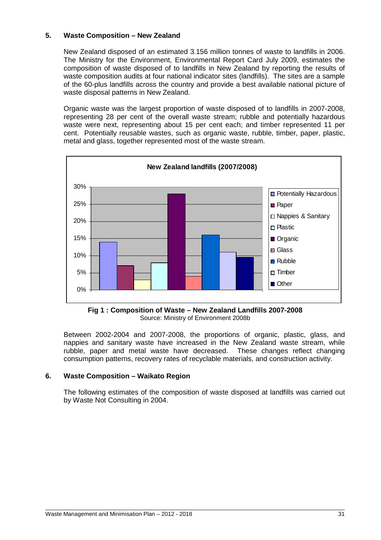#### **5. Waste Composition – New Zealand**

New Zealand disposed of an estimated 3.156 million tonnes of waste to landfills in 2006. The Ministry for the Environment, Environmental Report Card July 2009, estimates the composition of waste disposed of to landfills in New Zealand by reporting the results of waste composition audits at four national indicator sites (landfills). The sites are a sample of the 60-plus landfills across the country and provide a best available national picture of waste disposal patterns in New Zealand.

Organic waste was the largest proportion of waste disposed of to landfills in 2007-2008, representing 28 per cent of the overall waste stream; rubble and potentially hazardous waste were next, representing about 15 per cent each; and timber represented 11 per cent. Potentially reusable wastes, such as organic waste, rubble, timber, paper, plastic, metal and glass, together represented most of the waste stream.



**Fig 1 : Composition of Waste – New Zealand Landfills 2007-2008**  Source: Ministry of Environment 2008b

Between 2002-2004 and 2007-2008, the proportions of organic, plastic, glass, and nappies and sanitary waste have increased in the New Zealand waste stream, while rubble, paper and metal waste have decreased. These changes reflect changing consumption patterns, recovery rates of recyclable materials, and construction activity.

#### **6. Waste Composition – Waikato Region**

The following estimates of the composition of waste disposed at landfills was carried out by Waste Not Consulting in 2004.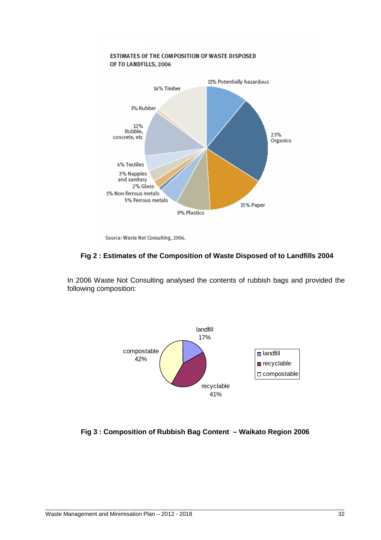

Source: Waste Not Consulting, 2006.

#### **Fig 2 : Estimates of the Composition of Waste Disposed of to Landfills 2004**

In 2006 Waste Not Consulting analysed the contents of rubbish bags and provided the following composition:



#### **Fig 3 : Composition of Rubbish Bag Content – Waikato Region 2006**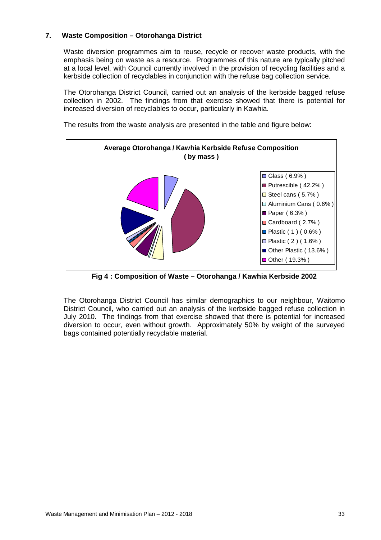#### **7. Waste Composition – Otorohanga District**

Waste diversion programmes aim to reuse, recycle or recover waste products, with the emphasis being on waste as a resource. Programmes of this nature are typically pitched at a local level, with Council currently involved in the provision of recycling facilities and a kerbside collection of recyclables in conjunction with the refuse bag collection service.

The Otorohanga District Council, carried out an analysis of the kerbside bagged refuse collection in 2002. The findings from that exercise showed that there is potential for increased diversion of recyclables to occur, particularly in Kawhia.

The results from the waste analysis are presented in the table and figure below:



**Fig 4 : Composition of Waste – Otorohanga / Kawhia Kerbside 2002** 

The Otorohanga District Council has similar demographics to our neighbour, Waitomo District Council, who carried out an analysis of the kerbside bagged refuse collection in July 2010. The findings from that exercise showed that there is potential for increased diversion to occur, even without growth. Approximately 50% by weight of the surveyed bags contained potentially recyclable material.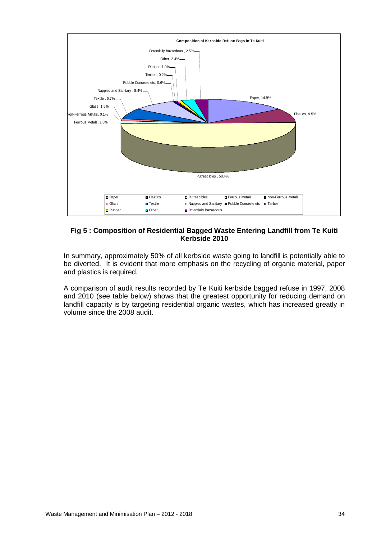

#### **Fig 5 : Composition of Residential Bagged Waste Entering Landfill from Te Kuiti Kerbside 2010**

In summary, approximately 50% of all kerbside waste going to landfill is potentially able to be diverted. It is evident that more emphasis on the recycling of organic material, paper and plastics is required.

A comparison of audit results recorded by Te Kuiti kerbside bagged refuse in 1997, 2008 and 2010 (see table below) shows that the greatest opportunity for reducing demand on landfill capacity is by targeting residential organic wastes, which has increased greatly in volume since the 2008 audit.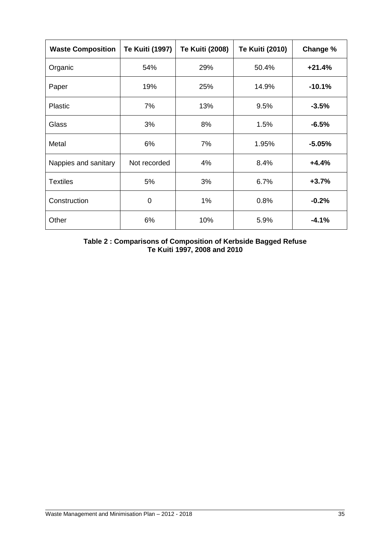| <b>Waste Composition</b> | <b>Te Kuiti (1997)</b> | <b>Te Kuiti (2008)</b> | <b>Te Kuiti (2010)</b> | Change % |
|--------------------------|------------------------|------------------------|------------------------|----------|
| Organic                  | 54%                    | 29%                    | 50.4%                  | $+21.4%$ |
| Paper                    | 19%                    | 25%                    | 14.9%                  | $-10.1%$ |
| <b>Plastic</b>           | 7%                     | 13%                    | 9.5%                   | $-3.5%$  |
| <b>Glass</b>             | 3%                     | 8%                     | 1.5%                   | $-6.5%$  |
| Metal                    | 6%                     | 7%                     | 1.95%                  | $-5.05%$ |
| Nappies and sanitary     | Not recorded           | 4%                     | 8.4%                   | $+4.4%$  |
| <b>Textiles</b>          | 5%                     | 3%                     | 6.7%                   | $+3.7%$  |
| Construction             | 0                      | $1\%$                  | 0.8%                   | $-0.2%$  |
| Other                    | 6%                     | 10%                    | 5.9%                   | $-4.1%$  |

**Table 2 : Comparisons of Composition of Kerbside Bagged Refuse Te Kuiti 1997, 2008 and 2010**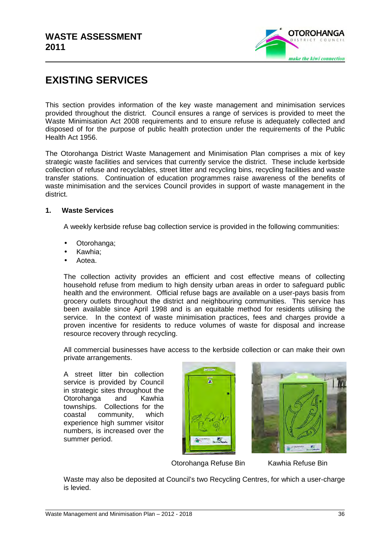

# **EXISTING SERVICES**

This section provides information of the key waste management and minimisation services provided throughout the district. Council ensures a range of services is provided to meet the Waste Minimisation Act 2008 requirements and to ensure refuse is adequately collected and disposed of for the purpose of public health protection under the requirements of the Public Health Act 1956.

The Otorohanga District Waste Management and Minimisation Plan comprises a mix of key strategic waste facilities and services that currently service the district. These include kerbside collection of refuse and recyclables, street litter and recycling bins, recycling facilities and waste transfer stations. Continuation of education programmes raise awareness of the benefits of waste minimisation and the services Council provides in support of waste management in the district.

#### **1. Waste Services**

A weekly kerbside refuse bag collection service is provided in the following communities:

- Otorohanga;
- Kawhia;
- Aotea.

The collection activity provides an efficient and cost effective means of collecting household refuse from medium to high density urban areas in order to safeguard public health and the environment. Official refuse bags are available on a user-pays basis from grocery outlets throughout the district and neighbouring communities. This service has been available since April 1998 and is an equitable method for residents utilising the service. In the context of waste minimisation practices, fees and charges provide a proven incentive for residents to reduce volumes of waste for disposal and increase resource recovery through recycling.

All commercial businesses have access to the kerbside collection or can make their own private arrangements.

A street litter bin collection service is provided by Council in strategic sites throughout the Otorohanga and Kawhia townships. Collections for the coastal community, which experience high summer visitor numbers, is increased over the summer period.





Otorohanga Refuse Bin Kawhia Refuse Bin

Waste may also be deposited at Council's two Recycling Centres, for which a user-charge is levied.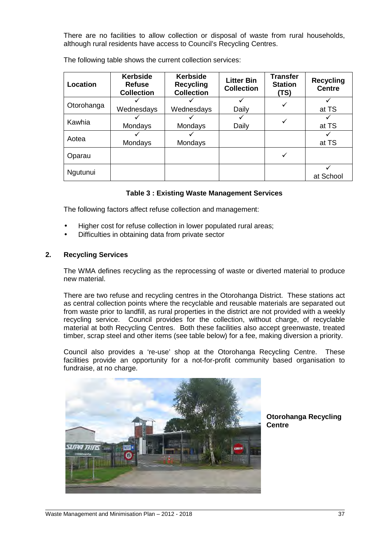There are no facilities to allow collection or disposal of waste from rural households, although rural residents have access to Council's Recycling Centres.

The following table shows the current collection services:

| <b>Location</b> | <b>Kerbside</b><br><b>Kerbside</b><br><b>Refuse</b><br><b>Recycling</b><br><b>Collection</b><br><b>Collection</b> |            | <b>Litter Bin</b><br><b>Collection</b> | <b>Transfer</b><br><b>Station</b><br>(TS) | <b>Recycling</b><br><b>Centre</b> |
|-----------------|-------------------------------------------------------------------------------------------------------------------|------------|----------------------------------------|-------------------------------------------|-----------------------------------|
| Otorohanga      |                                                                                                                   |            |                                        |                                           |                                   |
|                 | Wednesdays                                                                                                        | Wednesdays | Daily                                  |                                           | at TS                             |
| Kawhia          |                                                                                                                   |            |                                        |                                           |                                   |
|                 | Mondays                                                                                                           | Mondays    | Daily                                  |                                           | at TS                             |
|                 |                                                                                                                   |            |                                        |                                           |                                   |
| Aotea           | Mondays                                                                                                           | Mondays    |                                        |                                           | at TS                             |
| Oparau          |                                                                                                                   |            |                                        |                                           |                                   |
| Ngutunui        |                                                                                                                   |            |                                        |                                           |                                   |
|                 |                                                                                                                   |            |                                        |                                           | at School                         |

#### **Table 3 : Existing Waste Management Services**

The following factors affect refuse collection and management:

- Higher cost for refuse collection in lower populated rural areas;
- Difficulties in obtaining data from private sector

#### **2. Recycling Services**

The WMA defines recycling as the reprocessing of waste or diverted material to produce new material.

There are two refuse and recycling centres in the Otorohanga District. These stations act as central collection points where the recyclable and reusable materials are separated out from waste prior to landfill, as rural properties in the district are not provided with a weekly recycling service. Council provides for the collection, without charge, of recyclable material at both Recycling Centres. Both these facilities also accept greenwaste, treated timber, scrap steel and other items (see table below) for a fee, making diversion a priority.

Council also provides a 're-use' shop at the Otorohanga Recycling Centre. These facilities provide an opportunity for a not-for-profit community based organisation to fundraise, at no charge.



**Otorohanga Recycling Centre**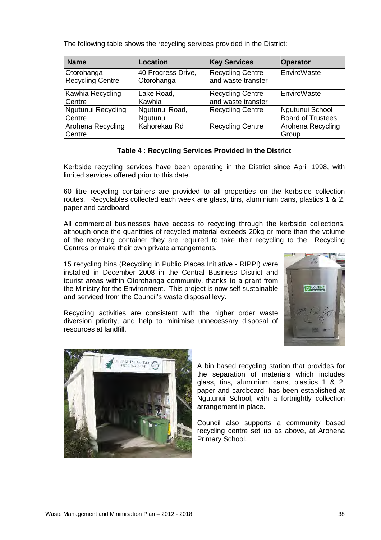| <b>Name</b>                 | Location           | <b>Key Services</b>     | <b>Operator</b>            |
|-----------------------------|--------------------|-------------------------|----------------------------|
| Otorohanga                  | 40 Progress Drive, | <b>Recycling Centre</b> | EnviroWaste                |
| <b>Recycling Centre</b>     | Otorohanga         | and waste transfer      |                            |
| Kawhia Recycling            | Lake Road,         | <b>Recycling Centre</b> | EnviroWaste                |
| Centre                      | Kawhia             | and waste transfer      |                            |
| Ngutunui Recycling          | Ngutunui Road,     | <b>Recycling Centre</b> | Ngutunui School            |
| Centre                      | Ngutunui           |                         | <b>Board of Trustees</b>   |
| Arohena Recycling<br>Centre | Kahorekau Rd       | <b>Recycling Centre</b> | Arohena Recycling<br>Group |

The following table shows the recycling services provided in the District:

#### **Table 4 : Recycling Services Provided in the District**

Kerbside recycling services have been operating in the District since April 1998, with limited services offered prior to this date.

60 litre recycling containers are provided to all properties on the kerbside collection routes. Recyclables collected each week are glass, tins, aluminium cans, plastics 1 & 2, paper and cardboard.

All commercial businesses have access to recycling through the kerbside collections, although once the quantities of recycled material exceeds 20kg or more than the volume of the recycling container they are required to take their recycling to the Recycling Centres or make their own private arrangements.

15 recycling bins (Recycling in Public Places Initiative - RIPPI) were installed in December 2008 in the Central Business District and tourist areas within Otorohanga community, thanks to a grant from the Ministry for the Environment. This project is now self sustainable and serviced from the Council's waste disposal levy.



Recycling activities are consistent with the higher order waste diversion priority, and help to minimise unnecessary disposal of resources at landfill.



A bin based recycling station that provides for the separation of materials which includes glass, tins, aluminium cans, plastics 1 & 2, paper and cardboard, has been established at Ngutunui School, with a fortnightly collection arrangement in place.

Council also supports a community based recycling centre set up as above, at Arohena Primary School.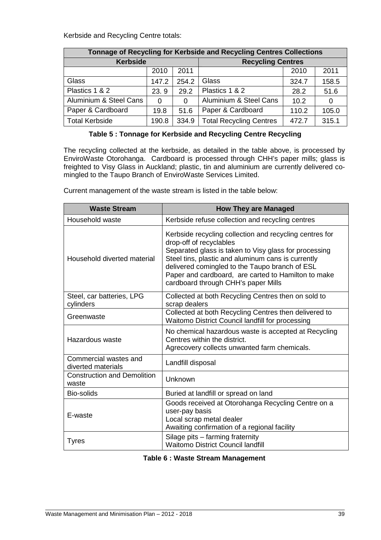Kerbside and Recycling Centre totals:

| <b>Tonnage of Recycling for Kerbside and Recycling Centres Collections</b> |          |       |                                |       |       |  |  |
|----------------------------------------------------------------------------|----------|-------|--------------------------------|-------|-------|--|--|
| <b>Kerbside</b>                                                            |          |       | <b>Recycling Centres</b>       |       |       |  |  |
|                                                                            | 2010     | 2011  |                                | 2010  | 2011  |  |  |
| Glass                                                                      | 147.2    | 254.2 | Glass                          | 324.7 | 158.5 |  |  |
| Plastics 1 & 2                                                             | 23.9     | 29.2  | Plastics 1 & 2                 | 28.2  | 51.6  |  |  |
| Aluminium & Steel Cans                                                     | $\Omega$ | 0     | Aluminium & Steel Cans         | 10.2  | 0     |  |  |
| Paper & Cardboard                                                          | 19.8     | 51.6  | Paper & Cardboard              | 110.2 | 105.0 |  |  |
| <b>Total Kerbside</b><br>190.8                                             |          | 334.9 | <b>Total Recycling Centres</b> | 472.7 | 315.1 |  |  |

#### **Table 5 : Tonnage for Kerbside and Recycling Centre Recycling**

The recycling collected at the kerbside, as detailed in the table above, is processed by EnviroWaste Otorohanga. Cardboard is processed through CHH's paper mills; glass is freighted to Visy Glass in Auckland; plastic, tin and aluminium are currently delivered comingled to the Taupo Branch of EnviroWaste Services Limited.

Current management of the waste stream is listed in the table below:

| <b>Waste Stream</b>                         | <b>How They are Managed</b>                                                                                                                                                                                                                                                                                                                       |
|---------------------------------------------|---------------------------------------------------------------------------------------------------------------------------------------------------------------------------------------------------------------------------------------------------------------------------------------------------------------------------------------------------|
| Household waste                             | Kerbside refuse collection and recycling centres                                                                                                                                                                                                                                                                                                  |
| Household diverted material                 | Kerbside recycling collection and recycling centres for<br>drop-off of recyclables<br>Separated glass is taken to Visy glass for processing<br>Steel tins, plastic and aluminum cans is currently<br>delivered comingled to the Taupo branch of ESL<br>Paper and cardboard, are carted to Hamilton to make<br>cardboard through CHH's paper Mills |
| Steel, car batteries, LPG<br>cylinders      | Collected at both Recycling Centres then on sold to<br>scrap dealers                                                                                                                                                                                                                                                                              |
| Greenwaste                                  | Collected at both Recycling Centres then delivered to<br>Waitomo District Council landfill for processing                                                                                                                                                                                                                                         |
| Hazardous waste                             | No chemical hazardous waste is accepted at Recycling<br>Centres within the district.<br>Agrecovery collects unwanted farm chemicals.                                                                                                                                                                                                              |
| Commercial wastes and<br>diverted materials | Landfill disposal                                                                                                                                                                                                                                                                                                                                 |
| <b>Construction and Demolition</b><br>waste | Unknown                                                                                                                                                                                                                                                                                                                                           |
| Bio-solids                                  | Buried at landfill or spread on land                                                                                                                                                                                                                                                                                                              |
| E-waste                                     | Goods received at Otorohanga Recycling Centre on a<br>user-pay basis<br>Local scrap metal dealer<br>Awaiting confirmation of a regional facility                                                                                                                                                                                                  |
| <b>Tyres</b>                                | Silage pits - farming fraternity<br><b>Waitomo District Council landfill</b>                                                                                                                                                                                                                                                                      |

#### **Table 6 : Waste Stream Management**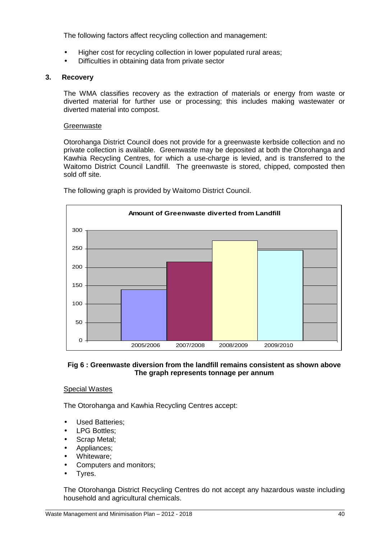The following factors affect recycling collection and management:

- Higher cost for recycling collection in lower populated rural areas;
- Difficulties in obtaining data from private sector

#### **3. Recovery**

The WMA classifies recovery as the extraction of materials or energy from waste or diverted material for further use or processing; this includes making wastewater or diverted material into compost.

#### **Greenwaste**

Otorohanga District Council does not provide for a greenwaste kerbside collection and no private collection is available. Greenwaste may be deposited at both the Otorohanga and Kawhia Recycling Centres, for which a use-charge is levied, and is transferred to the Waitomo District Council Landfill. The greenwaste is stored, chipped, composted then sold off site.



The following graph is provided by Waitomo District Council.

### **Fig 6 : Greenwaste diversion from the landfill remains consistent as shown above The graph represents tonnage per annum**

### Special Wastes

The Otorohanga and Kawhia Recycling Centres accept:

- Used Batteries;
- LPG Bottles;
- Scrap Metal:
- Appliances;
- Whiteware:
- Computers and monitors;
- Tyres.

The Otorohanga District Recycling Centres do not accept any hazardous waste including household and agricultural chemicals.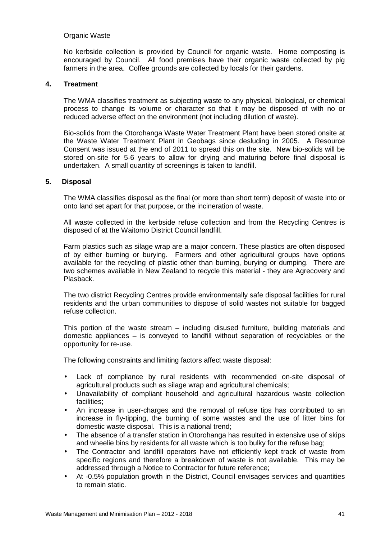#### Organic Waste

No kerbside collection is provided by Council for organic waste. Home composting is encouraged by Council. All food premises have their organic waste collected by pig farmers in the area. Coffee grounds are collected by locals for their gardens.

#### **4. Treatment**

The WMA classifies treatment as subjecting waste to any physical, biological, or chemical process to change its volume or character so that it may be disposed of with no or reduced adverse effect on the environment (not including dilution of waste).

Bio-solids from the Otorohanga Waste Water Treatment Plant have been stored onsite at the Waste Water Treatment Plant in Geobags since desluding in 2005. A Resource Consent was issued at the end of 2011 to spread this on the site. New bio-solids will be stored on-site for 5-6 years to allow for drying and maturing before final disposal is undertaken. A small quantity of screenings is taken to landfill.

#### **5. Disposal**

The WMA classifies disposal as the final (or more than short term) deposit of waste into or onto land set apart for that purpose, or the incineration of waste.

All waste collected in the kerbside refuse collection and from the Recycling Centres is disposed of at the Waitomo District Council landfill.

Farm plastics such as silage wrap are a major concern. These plastics are often disposed of by either burning or burying. Farmers and other agricultural groups have options available for the recycling of plastic other than burning, burying or dumping. There are two schemes available in New Zealand to recycle this material - they are Agrecovery and Plasback.

The two district Recycling Centres provide environmentally safe disposal facilities for rural residents and the urban communities to dispose of solid wastes not suitable for bagged refuse collection.

This portion of the waste stream – including disused furniture, building materials and domestic appliances – is conveyed to landfill without separation of recyclables or the opportunity for re-use.

The following constraints and limiting factors affect waste disposal:

- Lack of compliance by rural residents with recommended on-site disposal of agricultural products such as silage wrap and agricultural chemicals;
- Unavailability of compliant household and agricultural hazardous waste collection facilities;
- An increase in user-charges and the removal of refuse tips has contributed to an increase in fly-tipping, the burning of some wastes and the use of litter bins for domestic waste disposal. This is a national trend;
- The absence of a transfer station in Otorohanga has resulted in extensive use of skips and wheelie bins by residents for all waste which is too bulky for the refuse bag;
- The Contractor and landfill operators have not efficiently kept track of waste from specific regions and therefore a breakdown of waste is not available. This may be addressed through a Notice to Contractor for future reference;
- At -0.5% population growth in the District, Council envisages services and quantities to remain static.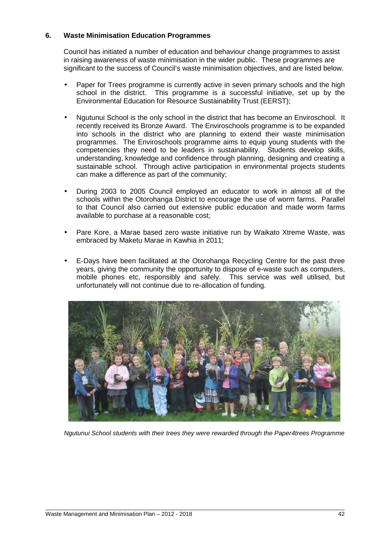#### **6. Waste Minimisation Education Programmes**

Council has initiated a number of education and behaviour change programmes to assist in raising awareness of waste minimisation in the wider public. These programmes are significant to the success of Council's waste minimisation objectives, and are listed below.

- Paper for Trees programme is currently active in seven primary schools and the high school in the district. This programme is a successful initiative, set up by the Environmental Education for Resource Sustainability Trust (EERST);
- Ngutunui School is the only school in the district that has become an Enviroschool. It recently received its Bronze Award. The Enviroschools programme is to be expanded into schools in the district who are planning to extend their waste minimisation programmes. The Enviroschools programme aims to equip young students with the competencies they need to be leaders in sustainability. Students develop skills, understanding, knowledge and confidence through planning, designing and creating a sustainable school. Through active participation in environmental projects students can make a difference as part of the community;
- During 2003 to 2005 Council employed an educator to work in almost all of the schools within the Otorohanga District to encourage the use of worm farms. Parallel to that Council also carried out extensive public education and made worm farms available to purchase at a reasonable cost;
- Pare Kore, a Marae based zero waste initiative run by Waikato Xtreme Waste, was embraced by Maketu Marae in Kawhia in 2011;
- E-Days have been facilitated at the Otorohanga Recycling Centre for the past three years, giving the community the opportunity to dispose of e-waste such as computers, mobile phones etc, responsibly and safely. This service was well utilised, but unfortunately will not continue due to re-allocation of funding.



Ngutunui School students with their trees they were rewarded through the Paper4trees Programme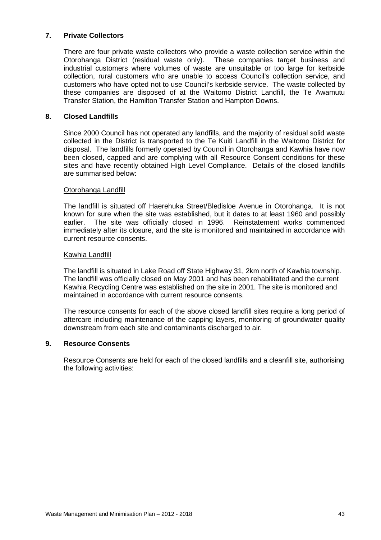#### **7. Private Collectors**

There are four private waste collectors who provide a waste collection service within the Otorohanga District (residual waste only). These companies target business and industrial customers where volumes of waste are unsuitable or too large for kerbside collection, rural customers who are unable to access Council's collection service, and customers who have opted not to use Council's kerbside service. The waste collected by these companies are disposed of at the Waitomo District Landfill, the Te Awamutu Transfer Station, the Hamilton Transfer Station and Hampton Downs.

#### **8. Closed Landfills**

Since 2000 Council has not operated any landfills, and the majority of residual solid waste collected in the District is transported to the Te Kuiti Landfill in the Waitomo District for disposal. The landfills formerly operated by Council in Otorohanga and Kawhia have now been closed, capped and are complying with all Resource Consent conditions for these sites and have recently obtained High Level Compliance. Details of the closed landfills are summarised below:

#### Otorohanga Landfill

The landfill is situated off Haerehuka Street/Bledisloe Avenue in Otorohanga. It is not known for sure when the site was established, but it dates to at least 1960 and possibly earlier. The site was officially closed in 1996. Reinstatement works commenced immediately after its closure, and the site is monitored and maintained in accordance with current resource consents.

#### Kawhia Landfill

The landfill is situated in Lake Road off State Highway 31, 2km north of Kawhia township. The landfill was officially closed on May 2001 and has been rehabilitated and the current Kawhia Recycling Centre was established on the site in 2001. The site is monitored and maintained in accordance with current resource consents.

The resource consents for each of the above closed landfill sites require a long period of aftercare including maintenance of the capping layers, monitoring of groundwater quality downstream from each site and contaminants discharged to air.

#### **9. Resource Consents**

Resource Consents are held for each of the closed landfills and a cleanfill site, authorising the following activities: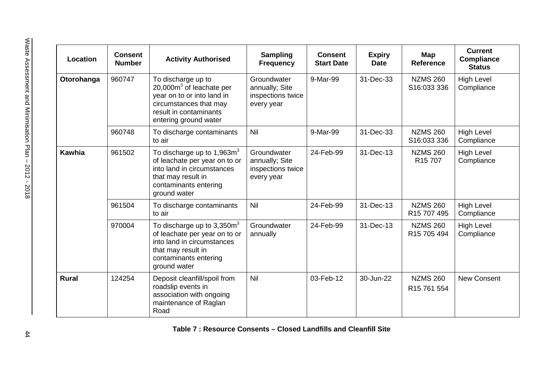| Location      | <b>Consent</b><br><b>Number</b> | <b>Activity Authorised</b>                                                                                                                                  | <b>Sampling</b><br><b>Frequency</b>                              | <b>Consent</b><br><b>Start Date</b> | <b>Expiry</b><br><b>Date</b> | Map<br><b>Reference</b>                    | <b>Current</b><br><b>Compliance</b><br><b>Status</b> |
|---------------|---------------------------------|-------------------------------------------------------------------------------------------------------------------------------------------------------------|------------------------------------------------------------------|-------------------------------------|------------------------------|--------------------------------------------|------------------------------------------------------|
| Otorohanga    | 960747                          | To discharge up to<br>$20,000m3$ of leachate per<br>year on to or into land in<br>circumstances that may<br>result in contaminants<br>entering ground water | Groundwater<br>annually; Site<br>inspections twice<br>every year | 9-Mar-99                            | 31-Dec-33                    | <b>NZMS 260</b><br>S16:033 336             | <b>High Level</b><br>Compliance                      |
|               | 960748                          | To discharge contaminants<br>to air                                                                                                                         | <b>Nil</b>                                                       | 9-Mar-99                            | 31-Dec-33                    | <b>NZMS 260</b><br>S16:033 336             | High Level<br>Compliance                             |
| <b>Kawhia</b> | 961502                          | To discharge up to 1,963 $m3$<br>of leachate per year on to or<br>into land in circumstances<br>that may result in<br>contaminants entering<br>ground water | Groundwater<br>annually; Site<br>inspections twice<br>every year | 24-Feb-99                           | 31-Dec-13                    | <b>NZMS 260</b><br>R <sub>15</sub> 707     | <b>High Level</b><br>Compliance                      |
|               | 961504                          | To discharge contaminants<br>to air                                                                                                                         | Nil                                                              | 24-Feb-99                           | 31-Dec-13                    | <b>NZMS 260</b><br>R15 707 495             | <b>High Level</b><br>Compliance                      |
|               | 970004                          | To discharge up to $3,350m3$<br>of leachate per year on to or<br>into land in circumstances<br>that may result in<br>contaminants entering<br>ground water  | Groundwater<br>annually                                          | 24-Feb-99                           | 31-Dec-13                    | <b>NZMS 260</b><br>R <sub>15</sub> 705 494 | <b>High Level</b><br>Compliance                      |
| <b>Rural</b>  | 124254                          | Deposit cleanfill/spoil from<br>roadslip events in<br>association with ongoing<br>maintenance of Raglan<br>Road                                             | Nil                                                              | 03-Feb-12                           | 30-Jun-22                    | <b>NZMS 260</b><br>R <sub>15</sub> 761 554 | <b>New Consent</b>                                   |

**Table 7 : Resource Consents – Closed Landfills and Cleanfill Site**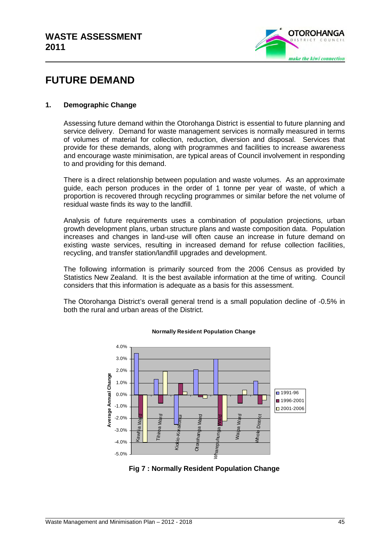

# **FUTURE DEMAND**

#### **1. Demographic Change**

Assessing future demand within the Otorohanga District is essential to future planning and service delivery. Demand for waste management services is normally measured in terms of volumes of material for collection, reduction, diversion and disposal. Services that provide for these demands, along with programmes and facilities to increase awareness and encourage waste minimisation, are typical areas of Council involvement in responding to and providing for this demand.

There is a direct relationship between population and waste volumes. As an approximate guide, each person produces in the order of 1 tonne per year of waste, of which a proportion is recovered through recycling programmes or similar before the net volume of residual waste finds its way to the landfill.

Analysis of future requirements uses a combination of population projections, urban growth development plans, urban structure plans and waste composition data. Population increases and changes in land-use will often cause an increase in future demand on existing waste services, resulting in increased demand for refuse collection facilities, recycling, and transfer station/landfill upgrades and development.

The following information is primarily sourced from the 2006 Census as provided by Statistics New Zealand. It is the best available information at the time of writing. Council considers that this information is adequate as a basis for this assessment.

The Otorohanga District's overall general trend is a small population decline of -0.5% in both the rural and urban areas of the District.



#### **Normally Resident Population Change**

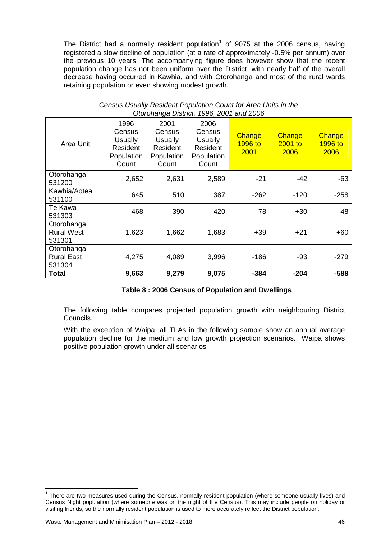The District had a normally resident population<sup>1</sup> of 9075 at the 2006 census, having registered a slow decline of population (at a rate of approximately -0.5% per annum) over the previous 10 years. The accompanying figure does however show that the recent population change has not been uniform over the District, with nearly half of the overall decrease having occurred in Kawhia, and with Otorohanga and most of the rural wards retaining population or even showing modest growth.

| Area Unit                                 | 1996<br>Census<br><b>Usually</b><br>Resident<br>Population<br>Count | 2001<br>Census<br><b>Usually</b><br>Resident<br>Population<br>Count | 2006<br>Census<br><b>Usually</b><br>Resident<br>Population<br>Count | Change<br>1996 to<br>2001 | Change<br>$2001$ to<br>2006 | Change<br>1996 to<br>2006 |
|-------------------------------------------|---------------------------------------------------------------------|---------------------------------------------------------------------|---------------------------------------------------------------------|---------------------------|-----------------------------|---------------------------|
| Otorohanga<br>531200                      | 2,652                                                               | 2,631                                                               | 2,589                                                               | $-21$                     | $-42$                       | $-63$                     |
| Kawhia/Aotea<br>531100                    | 645                                                                 | 510                                                                 | 387                                                                 | $-262$                    | $-120$                      | $-258$                    |
| Te Kawa<br>531303                         | 468                                                                 | 390                                                                 | 420                                                                 | $-78$                     | $+30$                       | -48                       |
| Otorohanga<br><b>Rural West</b><br>531301 | 1,623                                                               | 1,662                                                               | 1,683                                                               | $+39$                     | $+21$                       | $+60$                     |
| Otorohanga<br><b>Rural East</b><br>531304 | 4,275                                                               | 4,089                                                               | 3,996                                                               | $-186$                    | $-93$                       | $-279$                    |
| Total                                     | 9,663                                                               | 9,279                                                               | 9,075                                                               | $-384$                    | $-204$                      | $-588$                    |

| Census Usually Resident Population Count for Area Units in the |  |
|----------------------------------------------------------------|--|
| Otorohanga District, 1996, 2001 and 2006                       |  |

#### **Table 8 : 2006 Census of Population and Dwellings**

The following table compares projected population growth with neighbouring District Councils.

With the exception of Waipa, all TLAs in the following sample show an annual average population decline for the medium and low growth projection scenarios. Waipa shows positive population growth under all scenarios

 $\overline{\phantom{a}}$ 

<sup>&</sup>lt;sup>1</sup> There are two measures used during the Census, normally resident population (where someone usually lives) and Census Night population (where someone was on the night of the Census). This may include people on holiday or visiting friends, so the normally resident population is used to more accurately reflect the District population.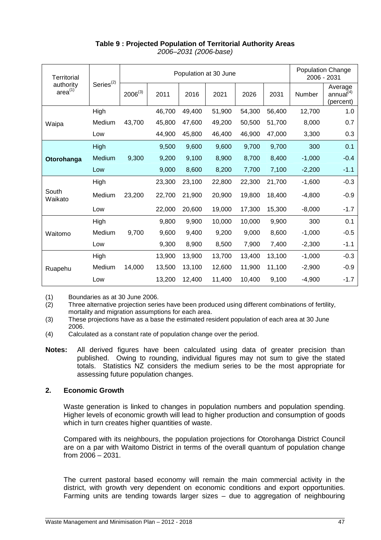| <b>Territorial</b>        |                | Population at 30 June |        |        |        |        | <b>Population Change</b><br>2006 - 2031 |          |                                               |
|---------------------------|----------------|-----------------------|--------|--------|--------|--------|-----------------------------------------|----------|-----------------------------------------------|
| authority<br>$area^{(1)}$ | $Series^{(2)}$ | $2006^{(3)}$          | 2011   | 2016   | 2021   | 2026   | 2031                                    | Number   | Average<br>annual <sup>(4)</sup><br>(percent) |
|                           | High           |                       | 46,700 | 49,400 | 51,900 | 54,300 | 56,400                                  | 12,700   | 1.0                                           |
| Waipa                     | Medium         | 43,700                | 45,800 | 47,600 | 49,200 | 50,500 | 51,700                                  | 8,000    | 0.7                                           |
|                           | Low            |                       | 44,900 | 45,800 | 46,400 | 46,900 | 47,000                                  | 3,300    | 0.3                                           |
|                           | <b>High</b>    |                       | 9,500  | 9,600  | 9,600  | 9,700  | 9,700                                   | 300      | 0.1                                           |
| Otorohanga                | Medium         | 9,300                 | 9,200  | 9,100  | 8,900  | 8,700  | 8,400                                   | $-1,000$ | $-0.4$                                        |
|                           | Low            |                       | 9,000  | 8,600  | 8,200  | 7,700  | 7,100                                   | $-2,200$ | $-1.1$                                        |
|                           | High           |                       | 23,300 | 23,100 | 22,800 | 22,300 | 21,700                                  | $-1,600$ | $-0.3$                                        |
| South<br>Waikato          | Medium         | 23,200                | 22,700 | 21,900 | 20,900 | 19,800 | 18,400                                  | $-4,800$ | $-0.9$                                        |
|                           | Low            |                       | 22,000 | 20,600 | 19,000 | 17,300 | 15,300                                  | $-8,000$ | $-1.7$                                        |
|                           | High           |                       | 9,800  | 9,900  | 10,000 | 10,000 | 9,900                                   | 300      | 0.1                                           |
| Waitomo                   | Medium         | 9,700                 | 9,600  | 9,400  | 9,200  | 9,000  | 8,600                                   | $-1,000$ | $-0.5$                                        |
|                           | Low            |                       | 9,300  | 8,900  | 8,500  | 7,900  | 7,400                                   | $-2,300$ | $-1.1$                                        |
|                           | High           |                       | 13,900 | 13,900 | 13,700 | 13,400 | 13,100                                  | $-1,000$ | $-0.3$                                        |
| Ruapehu                   | Medium         | 14,000                | 13,500 | 13,100 | 12,600 | 11,900 | 11,100                                  | $-2,900$ | $-0.9$                                        |
|                           | Low            |                       | 13,200 | 12,400 | 11,400 | 10,400 | 9,100                                   | $-4,900$ | $-1.7$                                        |

# **Table 9 : Projected Population of Territorial Authority Areas**

2006–2031 (2006-base)

(1) Boundaries as at 30 June 2006.

(2) Three alternative projection series have been produced using different combinations of fertility, mortality and migration assumptions for each area.

(3) These projections have as a base the estimated resident population of each area at 30 June 2006.

- (4) Calculated as a constant rate of population change over the period.
- **Notes:** All derived figures have been calculated using data of greater precision than published. Owing to rounding, individual figures may not sum to give the stated totals. Statistics NZ considers the medium series to be the most appropriate for assessing future population changes.

#### **2. Economic Growth**

Waste generation is linked to changes in population numbers and population spending. Higher levels of economic growth will lead to higher production and consumption of goods which in turn creates higher quantities of waste.

Compared with its neighbours, the population projections for Otorohanga District Council are on a par with Waitomo District in terms of the overall quantum of population change from 2006 – 2031.

The current pastoral based economy will remain the main commercial activity in the district, with growth very dependent on economic conditions and export opportunities. Farming units are tending towards larger sizes – due to aggregation of neighbouring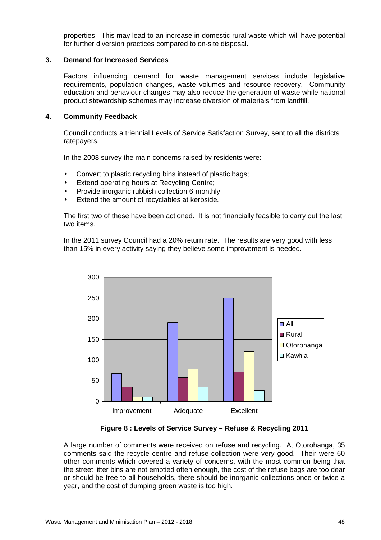properties. This may lead to an increase in domestic rural waste which will have potential for further diversion practices compared to on-site disposal.

#### **3. Demand for Increased Services**

Factors influencing demand for waste management services include legislative requirements, population changes, waste volumes and resource recovery. Community education and behaviour changes may also reduce the generation of waste while national product stewardship schemes may increase diversion of materials from landfill.

#### **4. Community Feedback**

Council conducts a triennial Levels of Service Satisfaction Survey, sent to all the districts ratepayers.

In the 2008 survey the main concerns raised by residents were:

- Convert to plastic recycling bins instead of plastic bags;
- **Extend operating hours at Recycling Centre;**
- Provide inorganic rubbish collection 6-monthly;
- Extend the amount of recyclables at kerbside.

The first two of these have been actioned. It is not financially feasible to carry out the last two items.

In the 2011 survey Council had a 20% return rate. The results are very good with less than 15% in every activity saying they believe some improvement is needed.



**Figure 8 : Levels of Service Survey – Refuse & Recycling 2011** 

A large number of comments were received on refuse and recycling. At Otorohanga, 35 comments said the recycle centre and refuse collection were very good. Their were 60 other comments which covered a variety of concerns, with the most common being that the street litter bins are not emptied often enough, the cost of the refuse bags are too dear or should be free to all households, there should be inorganic collections once or twice a year, and the cost of dumping green waste is too high.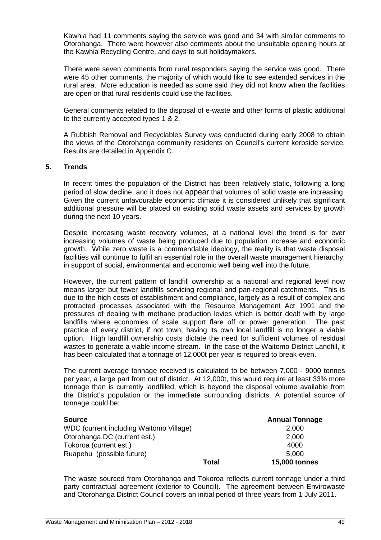Kawhia had 11 comments saying the service was good and 34 with similar comments to Otorohanga. There were however also comments about the unsuitable opening hours at the Kawhia Recycling Centre, and days to suit holidaymakers.

There were seven comments from rural responders saying the service was good. There were 45 other comments, the majority of which would like to see extended services in the rural area. More education is needed as some said they did not know when the facilities are open or that rural residents could use the facilities.

General comments related to the disposal of e-waste and other forms of plastic additional to the currently accepted types 1 & 2.

A Rubbish Removal and Recyclables Survey was conducted during early 2008 to obtain the views of the Otorohanga community residents on Council's current kerbside service. Results are detailed in Appendix C.

#### **5. Trends**

In recent times the population of the District has been relatively static, following a long period of slow decline, and it does not appear that volumes of solid waste are increasing. Given the current unfavourable economic climate it is considered unlikely that significant additional pressure will be placed on existing solid waste assets and services by growth during the next 10 years.

Despite increasing waste recovery volumes, at a national level the trend is for ever increasing volumes of waste being produced due to population increase and economic growth. While zero waste is a commendable ideology, the reality is that waste disposal facilities will continue to fulfil an essential role in the overall waste management hierarchy, in support of social, environmental and economic well being well into the future.

However, the current pattern of landfill ownership at a national and regional level now means larger but fewer landfills servicing regional and pan-regional catchments. This is due to the high costs of establishment and compliance, largely as a result of complex and protracted processes associated with the Resource Management Act 1991 and the pressures of dealing with methane production levies which is better dealt with by large landfills where economies of scale support flare off or power generation. The past practice of every district, if not town, having its own local landfill is no longer a viable option. High landfill ownership costs dictate the need for sufficient volumes of residual wastes to generate a viable income stream. In the case of the Waitomo District Landfill, it has been calculated that a tonnage of 12,000t per year is required to break-even.

The current average tonnage received is calculated to be between 7,000 - 9000 tonnes per year, a large part from out of district. At 12,000t, this would require at least 33% more tonnage than is currently landfilled, which is beyond the disposal volume available from the District's population or the immediate surrounding districts. A potential source of tonnage could be:

| <b>Source</b>                           |       | <b>Annual Tonnage</b> |
|-----------------------------------------|-------|-----------------------|
| WDC (current including Waitomo Village) |       | 2,000                 |
| Otorohanga DC (current est.)            |       | 2,000                 |
| Tokoroa (current est.)                  |       | 4000                  |
| Ruapehu (possible future)               |       | 5,000                 |
|                                         | Total | <b>15,000 tonnes</b>  |

The waste sourced from Otorohanga and Tokoroa reflects current tonnage under a third party contractual agreement (exterior to Council). The agreement between Envirowaste and Otorohanga District Council covers an initial period of three years from 1 July 2011.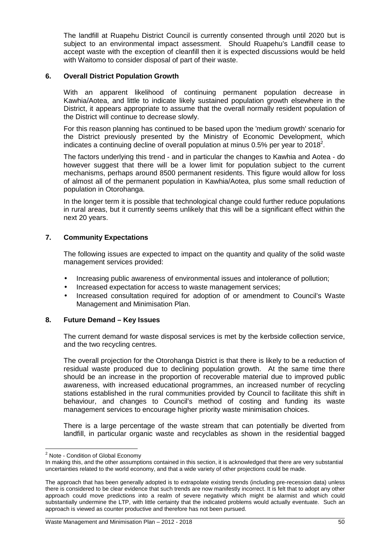The landfill at Ruapehu District Council is currently consented through until 2020 but is subject to an environmental impact assessment. Should Ruapehu's Landfill cease to accept waste with the exception of cleanfill then it is expected discussions would be held with Waitomo to consider disposal of part of their waste.

#### **6. Overall District Population Growth**

With an apparent likelihood of continuing permanent population decrease in Kawhia/Aotea, and little to indicate likely sustained population growth elsewhere in the District, it appears appropriate to assume that the overall normally resident population of the District will continue to decrease slowly.

For this reason planning has continued to be based upon the 'medium growth' scenario for the District previously presented by the Ministry of Economic Development, which indicates a continuing decline of overall population at minus 0.5% per year to 2018<sup>2</sup>.

The factors underlying this trend - and in particular the changes to Kawhia and Aotea - do however suggest that there will be a lower limit for population subject to the current mechanisms, perhaps around 8500 permanent residents. This figure would allow for loss of almost all of the permanent population in Kawhia/Aotea, plus some small reduction of population in Otorohanga.

In the longer term it is possible that technological change could further reduce populations in rural areas, but it currently seems unlikely that this will be a significant effect within the next 20 years.

#### **7. Community Expectations**

The following issues are expected to impact on the quantity and quality of the solid waste management services provided:

- Increasing public awareness of environmental issues and intolerance of pollution;
- Increased expectation for access to waste management services;
- Increased consultation required for adoption of or amendment to Council's Waste Management and Minimisation Plan.

#### **8. Future Demand – Key Issues**

The current demand for waste disposal services is met by the kerbside collection service, and the two recycling centres.

The overall projection for the Otorohanga District is that there is likely to be a reduction of residual waste produced due to declining population growth. At the same time there should be an increase in the proportion of recoverable material due to improved public awareness, with increased educational programmes, an increased number of recycling stations established in the rural communities provided by Council to facilitate this shift in behaviour, and changes to Council's method of costing and funding its waste management services to encourage higher priority waste minimisation choices.

There is a large percentage of the waste stream that can potentially be diverted from landfill, in particular organic waste and recyclables as shown in the residential bagged

 2 Note - Condition of Global Economy

In making this, and the other assumptions contained in this section, it is acknowledged that there are very substantial uncertainties related to the world economy, and that a wide variety of other projections could be made.

The approach that has been generally adopted is to extrapolate existing trends (including pre-recession data) unless there is considered to be clear evidence that such trends are now manifestly incorrect. It is felt that to adopt any other approach could move predictions into a realm of severe negativity which might be alarmist and which could substantially undermine the LTP, with little certainty that the indicated problems would actually eventuate. Such an approach is viewed as counter productive and therefore has not been pursued.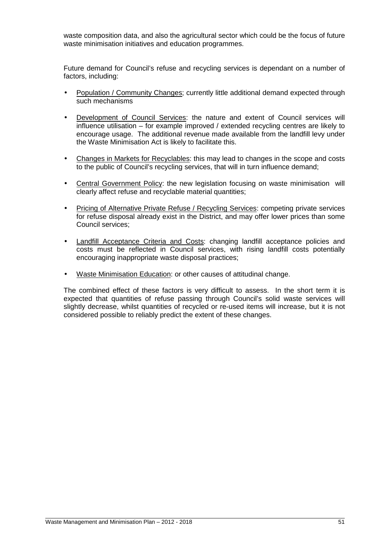waste composition data, and also the agricultural sector which could be the focus of future waste minimisation initiatives and education programmes.

Future demand for Council's refuse and recycling services is dependant on a number of factors, including:

- Population / Community Changes; currently little additional demand expected through such mechanisms
- Development of Council Services: the nature and extent of Council services will influence utilisation – for example improved / extended recycling centres are likely to encourage usage. The additional revenue made available from the landfill levy under the Waste Minimisation Act is likely to facilitate this.
- Changes in Markets for Recyclables: this may lead to changes in the scope and costs to the public of Council's recycling services, that will in turn influence demand;
- Central Government Policy: the new legislation focusing on waste minimisation will clearly affect refuse and recyclable material quantities;
- Pricing of Alternative Private Refuse / Recycling Services: competing private services for refuse disposal already exist in the District, and may offer lower prices than some Council services;
- Landfill Acceptance Criteria and Costs: changing landfill acceptance policies and costs must be reflected in Council services, with rising landfill costs potentially encouraging inappropriate waste disposal practices;
- Waste Minimisation Education: or other causes of attitudinal change.

The combined effect of these factors is very difficult to assess. In the short term it is expected that quantities of refuse passing through Council's solid waste services will slightly decrease, whilst quantities of recycled or re-used items will increase, but it is not considered possible to reliably predict the extent of these changes.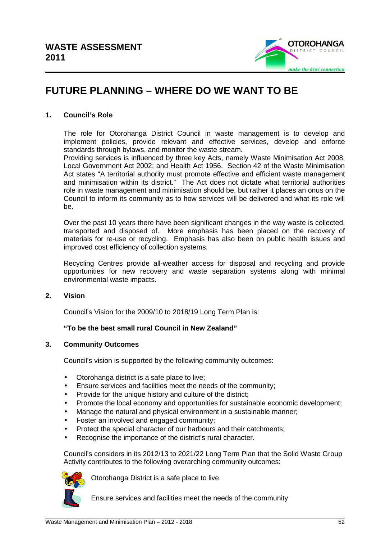

# **FUTURE PLANNING – WHERE DO WE WANT TO BE**

#### **1. Council's Role**

The role for Otorohanga District Council in waste management is to develop and implement policies, provide relevant and effective services, develop and enforce standards through bylaws, and monitor the waste stream.

Providing services is influenced by three key Acts, namely Waste Minimisation Act 2008; Local Government Act 2002; and Health Act 1956. Section 42 of the Waste Minimisation Act states "A territorial authority must promote effective and efficient waste management and minimisation within its district." The Act does not dictate what territorial authorities role in waste management and minimisation should be, but rather it places an onus on the Council to inform its community as to how services will be delivered and what its role will be.

Over the past 10 years there have been significant changes in the way waste is collected, transported and disposed of. More emphasis has been placed on the recovery of materials for re-use or recycling. Emphasis has also been on public health issues and improved cost efficiency of collection systems.

Recycling Centres provide all-weather access for disposal and recycling and provide opportunities for new recovery and waste separation systems along with minimal environmental waste impacts.

#### **2. Vision**

Council's Vision for the 2009/10 to 2018/19 Long Term Plan is:

#### **"To be the best small rural Council in New Zealand"**

#### **3. Community Outcomes**

Council's vision is supported by the following community outcomes:

- Otorohanga district is a safe place to live;
- Ensure services and facilities meet the needs of the community;
- Provide for the unique history and culture of the district;
- Promote the local economy and opportunities for sustainable economic development;
- Manage the natural and physical environment in a sustainable manner:
- Foster an involved and engaged community;
- Protect the special character of our harbours and their catchments;
- Recognise the importance of the district's rural character.

Council's considers in its 2012/13 to 2021/22 Long Term Plan that the Solid Waste Group Activity contributes to the following overarching community outcomes:



Otorohanga District is a safe place to live.

Ensure services and facilities meet the needs of the community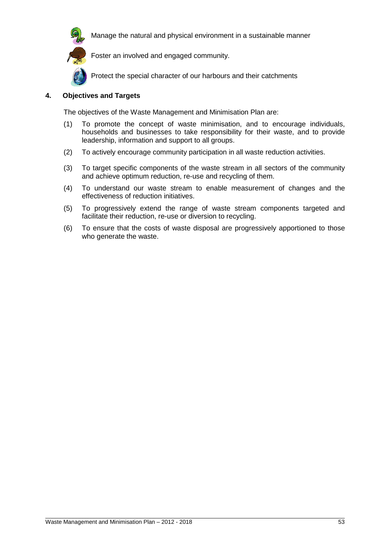

Manage the natural and physical environment in a sustainable manner



Protect the special character of our harbours and their catchments

#### **4. Objectives and Targets**

The objectives of the Waste Management and Minimisation Plan are:

- (1) To promote the concept of waste minimisation, and to encourage individuals, households and businesses to take responsibility for their waste, and to provide leadership, information and support to all groups.
- (2) To actively encourage community participation in all waste reduction activities.
- (3) To target specific components of the waste stream in all sectors of the community and achieve optimum reduction, re-use and recycling of them.
- (4) To understand our waste stream to enable measurement of changes and the effectiveness of reduction initiatives.
- (5) To progressively extend the range of waste stream components targeted and facilitate their reduction, re-use or diversion to recycling.
- (6) To ensure that the costs of waste disposal are progressively apportioned to those who generate the waste.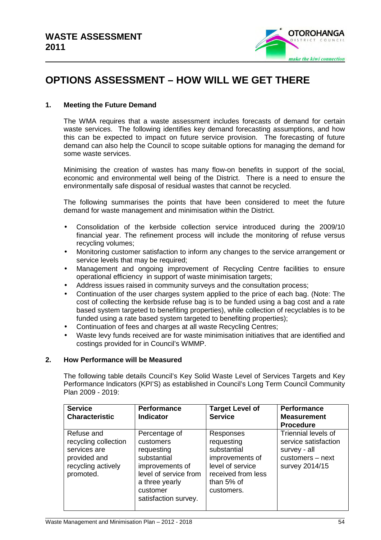

# **OPTIONS ASSESSMENT – HOW WILL WE GET THERE**

#### **1. Meeting the Future Demand**

The WMA requires that a waste assessment includes forecasts of demand for certain waste services. The following identifies key demand forecasting assumptions, and how this can be expected to impact on future service provision. The forecasting of future demand can also help the Council to scope suitable options for managing the demand for some waste services.

Minimising the creation of wastes has many flow-on benefits in support of the social, economic and environmental well being of the District. There is a need to ensure the environmentally safe disposal of residual wastes that cannot be recycled.

The following summarises the points that have been considered to meet the future demand for waste management and minimisation within the District.

- Consolidation of the kerbside collection service introduced during the 2009/10 financial year. The refinement process will include the monitoring of refuse versus recycling volumes;
- Monitoring customer satisfaction to inform any changes to the service arrangement or service levels that may be required;
- Management and ongoing improvement of Recycling Centre facilities to ensure operational efficiency in support of waste minimisation targets;
- Address issues raised in community surveys and the consultation process;
- Continuation of the user charges system applied to the price of each bag. (Note: The cost of collecting the kerbside refuse bag is to be funded using a bag cost and a rate based system targeted to benefiting properties), while collection of recyclables is to be funded using a rate based system targeted to benefiting properties);
- Continuation of fees and charges at all waste Recycling Centres;
- Waste levy funds received are for waste minimisation initiatives that are identified and costings provided for in Council's WMMP.

#### **2. How Performance will be Measured**

The following table details Council's Key Solid Waste Level of Services Targets and Key Performance Indicators (KPI'S) as established in Council's Long Term Council Community Plan 2009 - 2019:

| <b>Service</b><br><b>Characteristic</b>                                                               | <b>Performance</b><br><b>Indicator</b>                                                                                                                    | <b>Target Level of</b><br><b>Service</b>                                                                                        | Performance<br><b>Measurement</b><br><b>Procedure</b>                                             |
|-------------------------------------------------------------------------------------------------------|-----------------------------------------------------------------------------------------------------------------------------------------------------------|---------------------------------------------------------------------------------------------------------------------------------|---------------------------------------------------------------------------------------------------|
| Refuse and<br>recycling collection<br>services are<br>provided and<br>recycling actively<br>promoted. | Percentage of<br>customers<br>requesting<br>substantial<br>improvements of<br>level of service from<br>a three yearly<br>customer<br>satisfaction survey. | Responses<br>requesting<br>substantial<br>improvements of<br>level of service<br>received from less<br>than 5% of<br>customers. | Triennial levels of<br>service satisfaction<br>survey - all<br>customers - next<br>survey 2014/15 |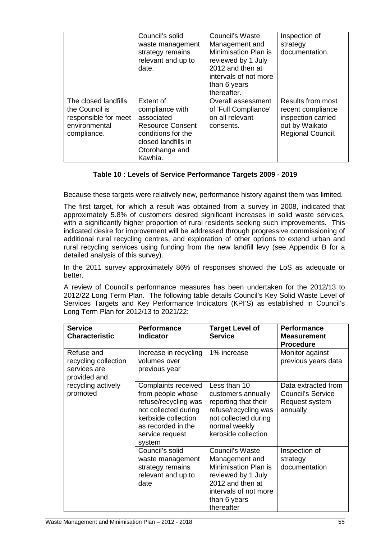|                                                                                                | Council's solid<br>waste management<br>strategy remains<br>relevant and up to<br>date.                                                          | Council's Waste<br>Management and<br>Minimisation Plan is<br>reviewed by 1 July<br>2012 and then at<br>intervals of not more<br>than 6 years<br>thereafter. | Inspection of<br>strategy<br>documentation.                                                                |
|------------------------------------------------------------------------------------------------|-------------------------------------------------------------------------------------------------------------------------------------------------|-------------------------------------------------------------------------------------------------------------------------------------------------------------|------------------------------------------------------------------------------------------------------------|
| The closed landfills<br>the Council is<br>responsible for meet<br>environmental<br>compliance. | Extent of<br>compliance with<br>associated<br><b>Resource Consent</b><br>conditions for the<br>closed landfills in<br>Otorohanga and<br>Kawhia. | Overall assessment<br>of 'Full Compliance'<br>on all relevant<br>consents.                                                                                  | <b>Results from most</b><br>recent compliance<br>inspection carried<br>out by Waikato<br>Regional Council. |

### **Table 10 : Levels of Service Performance Targets 2009 - 2019**

Because these targets were relatively new, performance history against them was limited.

The first target, for which a result was obtained from a survey in 2008, indicated that approximately 5.8% of customers desired significant increases in solid waste services, with a significantly higher proportion of rural residents seeking such improvements. This indicated desire for improvement will be addressed through progressive commissioning of additional rural recycling centres, and exploration of other options to extend urban and rural recycling services using funding from the new landfill levy (see Appendix B for a detailed analysis of this survey).

In the 2011 survey approximately 86% of responses showed the LoS as adequate or better.

A review of Council's performance measures has been undertaken for the 2012/13 to 2012/22 Long Term Plan. The following table details Council's Key Solid Waste Level of Services Targets and Key Performance Indicators (KPI'S) as established in Council's Long Term Plan for 2012/13 to 2021/22:

| <b>Service</b><br><b>Characteristic</b>                                                              | <b>Performance</b><br><b>Indicator</b>                                                                                                                             | <b>Target Level of</b><br><b>Service</b>                                                                                                                   | <b>Performance</b><br><b>Measurement</b><br><b>Procedure</b>                  |
|------------------------------------------------------------------------------------------------------|--------------------------------------------------------------------------------------------------------------------------------------------------------------------|------------------------------------------------------------------------------------------------------------------------------------------------------------|-------------------------------------------------------------------------------|
| Refuse and<br>recycling collection<br>services are<br>provided and<br>recycling actively<br>promoted | Increase in recycling<br>volumes over<br>previous year                                                                                                             | 1% increase                                                                                                                                                | Monitor against<br>previous years data                                        |
|                                                                                                      | Complaints received<br>from people whose<br>refuse/recycling was<br>not collected during<br>kerbside collection<br>as recorded in the<br>service request<br>system | Less than 10<br>customers annually<br>reporting that their<br>refuse/recycling was<br>not collected during<br>normal weekly<br>kerbside collection         | Data extracted from<br><b>Council's Service</b><br>Request system<br>annually |
|                                                                                                      | Council's solid<br>waste management<br>strategy remains<br>relevant and up to<br>date                                                                              | Council's Waste<br>Management and<br>Minimisation Plan is<br>reviewed by 1 July<br>2012 and then at<br>intervals of not more<br>than 6 years<br>thereafter | Inspection of<br>strategy<br>documentation                                    |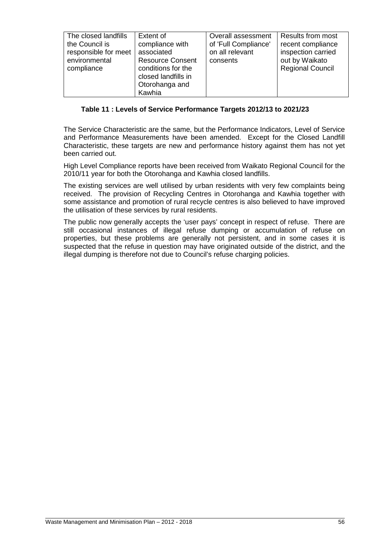| The closed landfills | Extent of                                                             | Overall assessment   | <b>Results from most</b> |
|----------------------|-----------------------------------------------------------------------|----------------------|--------------------------|
| the Council is       | compliance with                                                       | of 'Full Compliance' | recent compliance        |
| responsible for meet | associated                                                            | on all relevant      | inspection carried       |
| environmental        | <b>Resource Consent</b>                                               | consents             | out by Waikato           |
| compliance           | conditions for the<br>closed landfills in<br>Otorohanga and<br>Kawhia |                      | <b>Regional Council</b>  |

#### **Table 11 : Levels of Service Performance Targets 2012/13 to 2021/23**

The Service Characteristic are the same, but the Performance Indicators, Level of Service and Performance Measurements have been amended. Except for the Closed Landfill Characteristic, these targets are new and performance history against them has not yet been carried out.

High Level Compliance reports have been received from Waikato Regional Council for the 2010/11 year for both the Otorohanga and Kawhia closed landfills.

The existing services are well utilised by urban residents with very few complaints being received. The provision of Recycling Centres in Otorohanga and Kawhia together with some assistance and promotion of rural recycle centres is also believed to have improved the utilisation of these services by rural residents.

The public now generally accepts the 'user pays' concept in respect of refuse. There are still occasional instances of illegal refuse dumping or accumulation of refuse on properties, but these problems are generally not persistent, and in some cases it is suspected that the refuse in question may have originated outside of the district, and the illegal dumping is therefore not due to Council's refuse charging policies.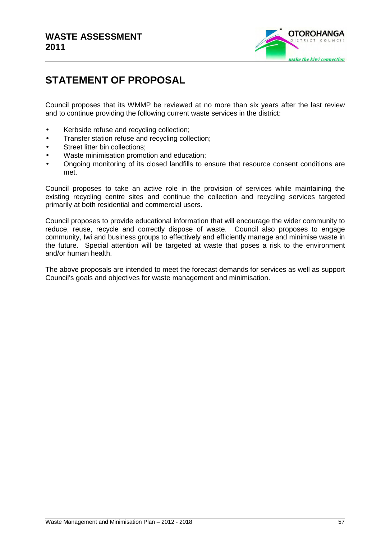

# **STATEMENT OF PROPOSAL**

Council proposes that its WMMP be reviewed at no more than six years after the last review and to continue providing the following current waste services in the district:

- Kerbside refuse and recycling collection;
- Transfer station refuse and recycling collection;
- Street litter bin collections:
- Waste minimisation promotion and education;
- Ongoing monitoring of its closed landfills to ensure that resource consent conditions are met.

Council proposes to take an active role in the provision of services while maintaining the existing recycling centre sites and continue the collection and recycling services targeted primarily at both residential and commercial users.

Council proposes to provide educational information that will encourage the wider community to reduce, reuse, recycle and correctly dispose of waste. Council also proposes to engage community, Iwi and business groups to effectively and efficiently manage and minimise waste in the future. Special attention will be targeted at waste that poses a risk to the environment and/or human health.

The above proposals are intended to meet the forecast demands for services as well as support Council's goals and objectives for waste management and minimisation.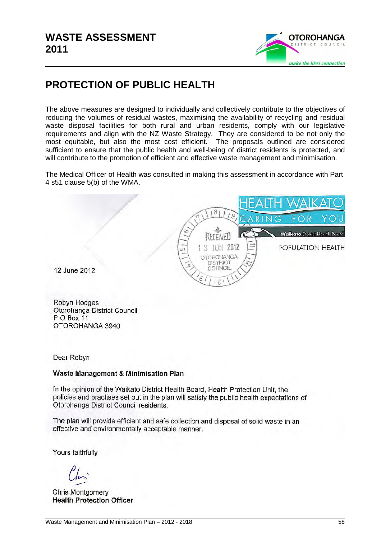

# **PROTECTION OF PUBLIC HEALTH**

The above measures are designed to individually and collectively contribute to the objectives of reducing the volumes of residual wastes, maximising the availability of recycling and residual waste disposal facilities for both rural and urban residents, comply with our legislative requirements and align with the NZ Waste Strategy. They are considered to be not only the most equitable, but also the most cost efficient. The proposals outlined are considered sufficient to ensure that the public health and well-being of district residents is protected, and will contribute to the promotion of efficient and effective waste management and minimisation.

The Medical Officer of Health was consulted in making this assessment in accordance with Part 4 s51 clause 5(b) of the WMA.



12 June 2012

Robyn Hodges Otorohanga District Council PO Box 11 OTOROHANGA 3940

Dear Robyn

#### **Waste Management & Minimisation Plan**

In the opinion of the Waikato District Health Board, Health Protection Unit, the policies and practises set out in the plan will satisfy the public health expectations of Otorohanga District Council residents.

The plan will provide efficient and safe collection and disposal of solid waste in an effective and environmentally acceptable manner.

Yours faithfully

Chris Montgomery **Health Protection Officer**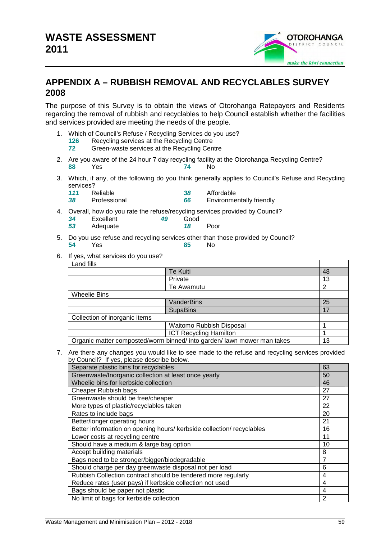

# **APPENDIX A – RUBBISH REMOVAL AND RECYCLABLES SURVEY 2008**

The purpose of this Survey is to obtain the views of Otorohanga Ratepayers and Residents regarding the removal of rubbish and recyclables to help Council establish whether the facilities and services provided are meeting the needs of the people.

- 1. Which of Council's Refuse / Recycling Services do you use?
	- **126** Recycling services at the Recycling Centre
	- **72** Green-waste services at the Recycling Centre
- 2. Are you aware of the 24 hour 7 day recycling facility at the Otorohanga Recycling Centre? **88** Yes **74** No
- 3. Which, if any, of the following do you think generally applies to Council's Refuse and Recycling services?<br>111 Reliable
	- **1111** Reliable **1111 1111 1111 1111 1111 1111 1111 66 Environment**
	- **38** Professional **66** Environmentally friendly
- 4. Overall, how do you rate the refuse/recycling services provided by Council?<br>34 Excellent 49 Good
	- **34** Excellent **49 53** Adequate **18** Poor
- 5. Do you use refuse and recycling services other than those provided by Council? **54** Yes **85** No
- 6. If yes, what services do you use?

| Land fills                                                              |                               |    |
|-------------------------------------------------------------------------|-------------------------------|----|
|                                                                         | Te Kuiti                      | 48 |
|                                                                         | Private                       | 13 |
|                                                                         | Te Awamutu                    | 2  |
| Wheelie Bins                                                            |                               |    |
|                                                                         | VanderBins                    | 25 |
|                                                                         | <b>SupaBins</b>               | 17 |
| Collection of inorganic items                                           |                               |    |
|                                                                         | Waitomo Rubbish Disposal      |    |
|                                                                         | <b>ICT Recycling Hamilton</b> |    |
| Organic matter composted/worm binned/ into garden/ lawn mower man takes |                               | 13 |

7. Are there any changes you would like to see made to the refuse and recycling services provided by Council? If yes, please describe below.

| Separate plastic bins for recyclables                                 | 63             |
|-----------------------------------------------------------------------|----------------|
| Greenwaste/Inorganic collection at least once yearly                  | 50             |
| Wheelie bins for kerbside collection                                  | 46             |
| <b>Cheaper Rubbish bags</b>                                           | 27             |
| Greenwaste should be free/cheaper                                     | 27             |
| More types of plastic/recyclables taken                               | 22             |
| Rates to include bags                                                 | 20             |
| Better/longer operating hours                                         | 21             |
| Better information on opening hours/ kerbside collection/ recyclables | 16             |
| Lower costs at recycling centre                                       | 11             |
| Should have a medium & large bag option                               | 10             |
| Accept building materials                                             | 8              |
| Bags need to be stronger/bigger/biodegradable                         | 7              |
| Should charge per day greenwaste disposal not per load                | 6              |
| Rubbish Collection contract should be tendered more regularly         | 4              |
| Reduce rates (user pays) if kerbside collection not used              | 4              |
| Bags should be paper not plastic                                      | 4              |
| No limit of bags for kerbside collection                              | $\overline{2}$ |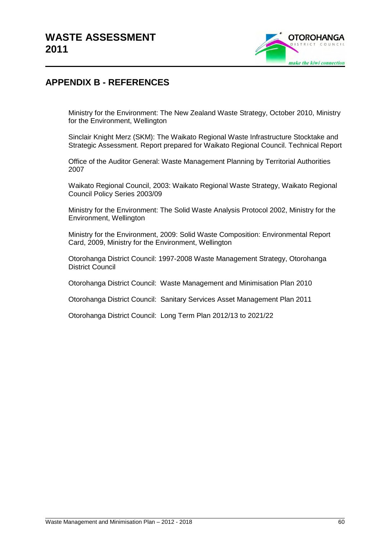

# **APPENDIX B - REFERENCES**

Ministry for the Environment: The New Zealand Waste Strategy, October 2010, Ministry for the Environment, Wellington

Sinclair Knight Merz (SKM): The Waikato Regional Waste Infrastructure Stocktake and Strategic Assessment. Report prepared for Waikato Regional Council. Technical Report

Office of the Auditor General: Waste Management Planning by Territorial Authorities 2007

Waikato Regional Council, 2003: Waikato Regional Waste Strategy, Waikato Regional Council Policy Series 2003/09

Ministry for the Environment: The Solid Waste Analysis Protocol 2002, Ministry for the Environment, Wellington

Ministry for the Environment, 2009: Solid Waste Composition: Environmental Report Card, 2009, Ministry for the Environment, Wellington

Otorohanga District Council: 1997-2008 Waste Management Strategy, Otorohanga District Council

Otorohanga District Council: Waste Management and Minimisation Plan 2010

Otorohanga District Council: Sanitary Services Asset Management Plan 2011

Otorohanga District Council: Long Term Plan 2012/13 to 2021/22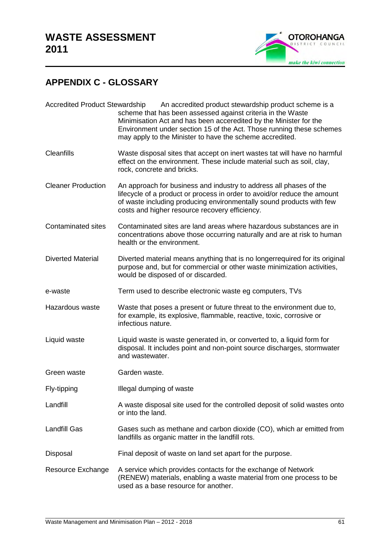

# **APPENDIX C - GLOSSARY**

| <b>Accredited Product Stewardship</b> | An accredited product stewardship product scheme is a<br>scheme that has been assessed against criteria in the Waste<br>Minimisation Act and has been acceredited by the Minister for the<br>Environment under section 15 of the Act. Those running these schemes<br>may apply to the Minister to have the scheme accredited. |
|---------------------------------------|-------------------------------------------------------------------------------------------------------------------------------------------------------------------------------------------------------------------------------------------------------------------------------------------------------------------------------|
| <b>Cleanfills</b>                     | Waste disposal sites that accept on inert wastes tat will have no harmful<br>effect on the environment. These include material such as soil, clay,<br>rock, concrete and bricks.                                                                                                                                              |
| <b>Cleaner Production</b>             | An approach for business and industry to address all phases of the<br>lifecycle of a product or process in order to avoid/or reduce the amount<br>of waste including producing environmentally sound products with few<br>costs and higher resource recovery efficiency.                                                      |
| <b>Contaminated sites</b>             | Contaminated sites are land areas where hazardous substances are in<br>concentrations above those occurring naturally and are at risk to human<br>health or the environment.                                                                                                                                                  |
| <b>Diverted Material</b>              | Diverted material means anything that is no longerrequired for its original<br>purpose and, but for commercial or other waste minimization activities,<br>would be disposed of or discarded.                                                                                                                                  |
| e-waste                               | Term used to describe electronic waste eg computers, TVs                                                                                                                                                                                                                                                                      |
| Hazardous waste                       | Waste that poses a present or future threat to the environment due to,<br>for example, its explosive, flammable, reactive, toxic, corrosive or<br>infectious nature.                                                                                                                                                          |
| Liquid waste                          | Liquid waste is waste generated in, or converted to, a liquid form for<br>disposal. It includes point and non-point source discharges, stormwater<br>and wastewater.                                                                                                                                                          |
| Green waste                           | Garden waste.                                                                                                                                                                                                                                                                                                                 |
| Fly-tipping                           | Illegal dumping of waste                                                                                                                                                                                                                                                                                                      |
| Landfill                              | A waste disposal site used for the controlled deposit of solid wastes onto<br>or into the land.                                                                                                                                                                                                                               |
| <b>Landfill Gas</b>                   | Gases such as methane and carbon dioxide (CO), which ar emitted from<br>landfills as organic matter in the landfill rots.                                                                                                                                                                                                     |
| Disposal                              | Final deposit of waste on land set apart for the purpose.                                                                                                                                                                                                                                                                     |
| Resource Exchange                     | A service which provides contacts for the exchange of Network<br>(RENEW) materials, enabling a waste material from one process to be<br>used as a base resource for another.                                                                                                                                                  |